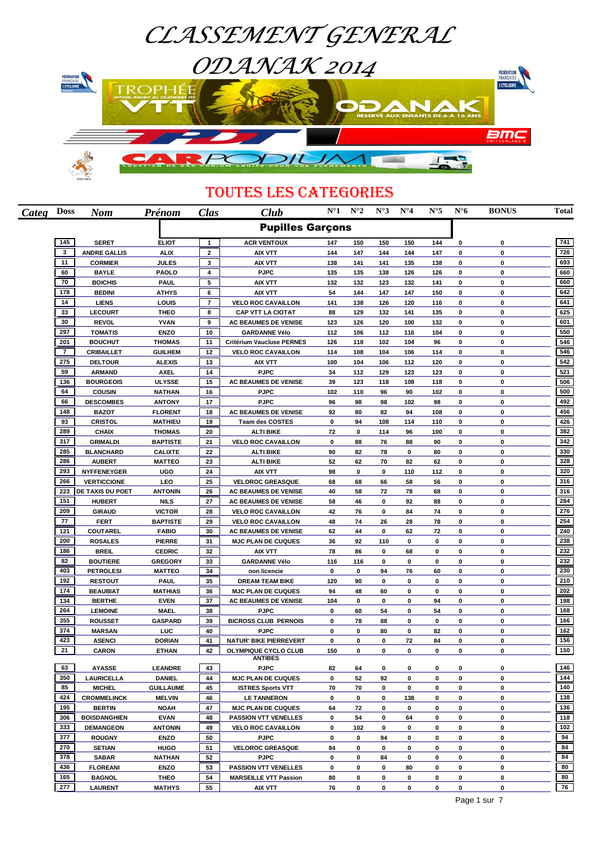

## TOUTES LES CATEGORIES

| Categ | <b>Doss</b>    | <b>Nom</b>                        | Prénom                          | Clas           | Club                                       | $N^{\circ}1$ | $N^{\circ}2$ | $N^{\circ}3$ | $N^{\circ}4$ | $N^{\circ}5$ | $N^{\circ}6$ | <b>BONUS</b>         | Total      |
|-------|----------------|-----------------------------------|---------------------------------|----------------|--------------------------------------------|--------------|--------------|--------------|--------------|--------------|--------------|----------------------|------------|
|       |                |                                   |                                 |                | <b>Pupilles Garçons</b>                    |              |              |              |              |              |              |                      |            |
|       | 145            | <b>SERET</b>                      | <b>ELIOT</b>                    | $\mathbf{1}$   | <b>ACR VENTOUX</b>                         | 147          | 150          | 150          | 150          | 144          | $\bf{0}$     | 0                    | 741        |
|       | 3              | <b>ANDRE GALLIS</b>               | <b>ALIX</b>                     | $\mathbf{2}$   | <b>AIX VTT</b>                             | 144          | 147          | 144          | 144          | 147          | 0            | 0                    | 726        |
|       | 11             | <b>CORMIER</b>                    | <b>JULES</b>                    | 3              | <b>AIX VTT</b>                             | 138          | 141          | 141          | 135          | 138          | 0            | 0                    | 693        |
|       | 60             | <b>BAYLE</b>                      | <b>PAOLO</b>                    | 4              | <b>PJPC</b>                                | 135          | 135          | 138          | 126          | 126          | $\bf{0}$     | 0                    | 660        |
|       | 70             | <b>BOICHIS</b>                    | <b>PAUL</b>                     | 5              | <b>AIX VTT</b>                             | 132          | 132          | 123          | 132          | 141          | 0            | 0                    | 660        |
|       | 178            | <b>BEDINI</b>                     | <b>ATHYS</b>                    | 6              | <b>AIX VTT</b>                             | 54           | 144          | 147          | 147          | 150          | 0            | $\bf{0}$             | 642        |
|       | 14             | <b>LIENS</b>                      | LOUIS                           | $\overline{7}$ | <b>VELO ROC CAVAILLON</b>                  | 141          | 138          | 126          | 120          | 116          | 0            | $\bf{0}$             | 641        |
|       | 33             | <b>LECOURT</b>                    | <b>THEO</b>                     | 8              | <b>CAP VTT LA CIOTAT</b>                   | 88           | 129          | 132          | 141          | 135          | 0            | 0                    | 625        |
|       | 30             | <b>REVOL</b>                      | <b>YVAN</b>                     | 9              | <b>AC BEAUMES DE VENISE</b>                | 123          | 126          | 120          | 100          | 132          | 0            | $\bf{0}$             | 601        |
|       | 297            | <b>TOMATIS</b>                    | <b>ENZO</b>                     | 10             | <b>GARDANNE Vélo</b>                       | 112          | 106          | 112          | 116          | 104          | 0            | $\bf{0}$             | 550        |
|       | 201            | <b>BOUCHUT</b>                    | <b>THOMAS</b>                   | 11             | Critérium Vaucluse PERNES                  | 126          | 118          | 102          | 104          | 96           | 0            | 0                    | 546        |
|       | $\overline{7}$ | <b>CRIBAILLET</b>                 | <b>GUILHEM</b>                  | 12             | <b>VELO ROC CAVAILLON</b>                  | 114          | 108          | 104          | 106          | 114          | 0            | $\bf{0}$             | 546        |
|       | 275            | <b>DELTOUR</b>                    | <b>ALEXIS</b>                   | 13             | <b>AIX VTT</b>                             | 100          | 104          | 106          | 112          | 120          | 0            | 0                    | 542        |
|       | 59<br>136      | <b>ARMAND</b>                     | <b>AXEL</b>                     | 14             | <b>PJPC</b>                                | 34           | 112          | 129          | 123          | 123          | 0            | 0                    | 521<br>506 |
|       | 64             | <b>BOURGEOIS</b><br><b>COUSIN</b> | ULYSSE                          | 15             | <b>AC BEAUMES DE VENISE</b><br><b>PJPC</b> | 39           | 123          | 118          | 108          | 118          | 0            | $\bf{0}$<br>$\bf{0}$ | 500        |
|       | 66             | <b>DESCOMBES</b>                  | <b>NATHAN</b>                   | 16<br>17       | <b>PJPC</b>                                | 102          | 110<br>98    | 96<br>98     | 90<br>102    | 102<br>98    | 0<br>0       | 0                    | 492        |
|       | 148            | <b>BAZOT</b>                      | <b>ANTONY</b><br><b>FLORENT</b> | 18             | <b>AC BEAUMES DE VENISE</b>                | 96<br>92     | 80           | 82           | 94           | 108          | 0            | $\mathbf 0$          | 456        |
|       | 93             | <b>CRISTOL</b>                    | <b>MATHIEU</b>                  | 19             | <b>Team des COSTES</b>                     | 0            | 94           | 108          | 114          | 110          | $\mathbf 0$  | $\mathbf 0$          | 426        |
|       | 289            | <b>CHAIX</b>                      | <b>THOMAS</b>                   | 20             | <b>ALTI BIKE</b>                           | 72           | 0            | 114          | 96           | 100          | $\bf{0}$     | $\bf{0}$             | 382        |
|       | 317            | <b>GRIMALDI</b>                   | <b>BAPTISTE</b>                 | 21             | <b>VELO ROC CAVAILLON</b>                  | 0            | 88           | 76           | 88           | 90           | $\mathbf 0$  | $\bf{0}$             | 342        |
|       | 285            | <b>BLANCHARD</b>                  | <b>CALIXTE</b>                  | 22             | <b>ALTI BIKE</b>                           | 90           | 82           | 78           | 0            | 80           | $\bf{0}$     | 0                    | 330        |
|       | 286            | <b>AUBERT</b>                     | <b>MATTEO</b>                   | 23             | <b>ALTI BIKE</b>                           | 52           | 62           | 70           | 82           | 62           | $\bf{0}$     | $\bf{0}$             | 328        |
|       | 293            | <b>NYFFENEYGER</b>                | <b>UGO</b>                      | 24             | <b>AIX VTT</b>                             | 98           | 0            | 0            | 110          | 112          | 0            | $\mathbf 0$          | 320        |
|       | 266            | <b>VERTICCIONE</b>                | LEO                             | 25             | <b>VELOROC GREASQUE</b>                    | 68           | 68           | 66           | 58           | 56           | 0            | 0                    | 316        |
|       | 223            | DE TAXIS DU POET                  | <b>ANTONIN</b>                  | 26             | <b>AC BEAUMES DE VENISE</b>                | 40           | 58           | 72           | 78           | 68           | $\bf{0}$     | $\bf{0}$             | 316        |
|       | 151            | <b>HUBERT</b>                     | <b>NILS</b>                     | 27             | AC BEAUMES DE VENISE                       | 58           | 46           | 0            | 92           | 88           | $\mathbf 0$  | $\bf{0}$             | 284        |
|       | 209            | <b>GIRAUD</b>                     | <b>VICTOR</b>                   | 28             | <b>VELO ROC CAVAILLON</b>                  | 42           | 76           | 0            | 84           | 74           | 0            | 0                    | 276        |
|       | 77             | <b>FERT</b>                       | <b>BAPTISTE</b>                 | 29             | <b>VELO ROC CAVAILLON</b>                  | 48           | 74           | 26           | 28           | 78           | $\bf{0}$     | $\bf{0}$             | 254        |
|       | 121            | COUTAREL                          | <b>FABIO</b>                    | 30             | <b>AC BEAUMES DE VENISE</b>                | 62           | 44           | 0            | 62           | 72           | $\mathbf 0$  | $\mathbf 0$          | 240        |
|       | 200            | <b>ROSALES</b>                    | <b>PIERRE</b>                   | 31             | <b>MJC PLAN DE CUQUES</b>                  | 36           | 92           | 110          | 0            | 0            | 0            | 0                    | 238        |
|       | 186            | <b>BREIL</b>                      | <b>CEDRIC</b>                   | 32             | AIX VTT                                    | 78           | 86           | 0            | 68           | 0            | $\bf{0}$     | $\bf{0}$             | 232        |
|       | 82             | <b>BOUTIERE</b>                   | <b>GREGORY</b>                  | 33             | <b>GARDANNE Vélo</b>                       | 116          | 116          | 0            | 0            | 0            | 0            | $\mathbf 0$          | 232        |
|       | 403            | <b>PETROLESI</b>                  | <b>MATTEO</b>                   | 34             | non licencie                               | 0            | 0            | 94           | 76           | 60           | 0            | 0                    | 230        |
|       | 192            | <b>RESTOUT</b>                    | <b>PAUL</b>                     | 35             | <b>DREAM TEAM BIKE</b>                     | 120          | 90           | 0            | 0            | 0            | $\pmb{0}$    | $\mathbf 0$          | 210        |
|       | 174            | <b>BEAUBIAT</b>                   | <b>MATHIAS</b>                  | 36             | <b>MJC PLAN DE CUQUES</b>                  | 94           | 48           | 60           | 0            | 0            | 0            | 0                    | 202        |
|       | 134            | <b>BERTHE</b>                     | <b>EVEN</b>                     | 37             | <b>AC BEAUMES DE VENISE</b>                | 104          | 0            | 0            | 0            | 94           | 0            | 0                    | 198        |
|       | 264            | <b>LEMOINE</b>                    | <b>MAEL</b>                     | 38             | <b>PJPC</b>                                | 0            | 60           | 54           | 0            | 54           | $\mathbf 0$  | $\mathbf 0$          | 168        |
|       | 355            | <b>ROUSSET</b>                    | <b>GASPARD</b>                  | 39             | <b>BICROSS CLUB PERNOIS</b>                | 0            | 78           | 88           | 0            | 0            | 0            | 0                    | 166        |
|       | 374            | <b>MARSAN</b>                     | LUC                             | 40             | <b>PJPC</b>                                | 0            | 0            | 80           | 0            | 82           | 0            | 0                    | 162        |
|       | 423            | <b>ASENCI</b>                     | <b>DORIAN</b>                   | 41             | <b>NATUR' BIKE PIERREVERT</b>              | 0            | 0            | 0            | 72           | 84           | 0            | 0                    | 156        |
|       | 21             | <b>CARON</b>                      | <b>ETHAN</b>                    | 42             | OLYMPIQUE CYCLO CLUB<br><b>ANTIBES</b>     | 150          | $\Omega$     | 0            | $\Omega$     | 0            | 0            | U                    | 150        |
|       | 63             | <b>AYASSE</b>                     | <b>LEANDRE</b>                  | 43             | <b>PJPC</b>                                | 82           | 64           | 0            | 0            | 0            | 0            | 0                    | 146        |
|       | 350            | <b>LAURICELLA</b>                 | <b>DANIEL</b>                   | 44             | <b>MJC PLAN DE CUQUES</b>                  | 0            | 52           | 92           | 0            | 0            | 0            | 0                    | 144        |
|       | 85             | <b>MICHEL</b>                     | <b>GUILLAUME</b>                | 45             | <b>ISTRES Sports VTT</b>                   | 70           | 70           | 0            | 0            | 0            | 0            | 0                    | 140        |
|       | 424            | <b>CROMMELINCK</b>                | <b>MELVIN</b>                   | 46             | <b>LE TANNERON</b>                         | 0            | 0            | 0            | 138          | 0            | 0            | 0                    | 138        |
|       | 195            | <b>BERTIN</b>                     | <b>NOAH</b>                     | 47             | <b>MJC PLAN DE CUQUES</b>                  | 64           | 72           | 0            | 0            | 0            | 0            | 0                    | 136        |
|       | 306            | <b>BOISDANGHIEN</b>               | <b>EVAN</b>                     | 48             | <b>PASSION VTT VENELLES</b>                | 0            | 54           | 0            | 64           | 0            | 0            | 0                    | 118        |
|       | 333            | <b>DEMANGEON</b>                  | <b>ANTONIN</b>                  | 49             | <b>VELO ROC CAVAILLON</b>                  | 0            | 102          | 0            | 0            | 0            | 0            | 0                    | 102        |
|       | 377            | <b>ROUGNY</b>                     | <b>ENZO</b>                     | 50             | <b>PJPC</b>                                | 0            | 0            | 94           | 0            | 0            | 0            | 0                    | 94         |
|       | 270            | <b>SETIAN</b>                     | <b>HUGO</b>                     | 51             | <b>VELOROC GREASQUE</b>                    | 84           | 0            | 0            | 0            | 0            | 0            | 0                    | 84         |
|       | 378            | <b>SABAR</b>                      | <b>NATHAN</b>                   | 52             | <b>PJPC</b>                                | 0            | 0            | 84           | 0            | 0            | 0            | 0                    | 84         |
|       | 436            | <b>FLOREANI</b>                   | <b>ENZO</b>                     | 53             | <b>PASSION VTT VENELLES</b>                | 0            | 0            | 0            | 80           | 0            | 0            | 0                    | 80         |
|       | 165            | <b>BAGNOL</b>                     | <b>THEO</b>                     | 54             | <b>MARSEILLE VTT Passion</b>               | 80           | 0            | 0            | 0            | 0            | $\pmb{0}$    | 0                    | 80         |
|       | 277            | <b>LAURENT</b>                    | <b>MATHYS</b>                   | 55             | AIX VTT                                    | 76           | 0            | 0            | 0            | 0            | 0            | 0                    | 76         |
|       |                |                                   |                                 |                |                                            |              |              |              |              |              |              |                      |            |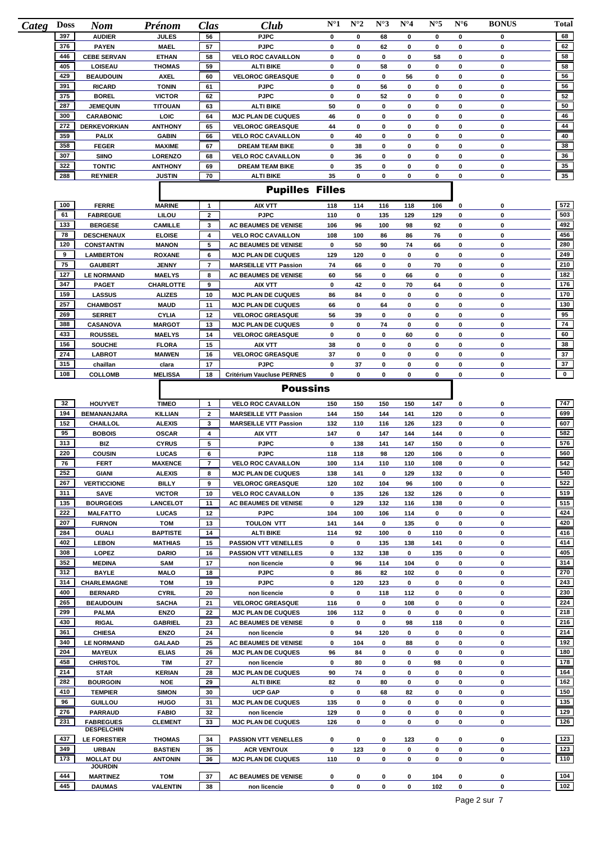| Categ Doss | <b>Nom</b>                            | Prénom                      | Clas           | Club                         | $N^{\circ}1$ | $N^{\circ}2$ | $N^{\circ}3$ | $N^{\circ}4$ | $N^{\circ}5$ | $N^{\circ}6$ | <b>BONUS</b> | Total        |
|------------|---------------------------------------|-----------------------------|----------------|------------------------------|--------------|--------------|--------------|--------------|--------------|--------------|--------------|--------------|
| 397        | <b>AUDIER</b>                         | <b>JULES</b>                | 56             | <b>PJPC</b>                  | 0            | 0            | 68           | 0            | 0            | 0            | 0            | 68           |
| 376        | <b>PAYEN</b>                          | <b>MAEL</b>                 | 57             | <b>PJPC</b>                  | 0            | 0            | 62           | 0            | 0            | 0            | 0            | 62           |
| 446        | <b>CEBE SERVAN</b>                    | <b>ETHAN</b>                | 58             | <b>VELO ROC CAVAILLON</b>    | 0            | 0            | 0            | 0            | 58           | 0            | 0            | 58           |
| 405        | <b>LOISEAU</b>                        | <b>THOMAS</b>               | 59             | ALTI BIKE                    | 0            | 0            | 58           | 0            | 0            | 0            | 0            | 58           |
| 429        | <b>BEAUDOUIN</b>                      | <b>AXEL</b>                 | 60             | <b>VELOROC GREASQUE</b>      | 0            | 0            | 0            | 56           | 0            | 0            | 0            | 56           |
| 391        | <b>RICARD</b>                         | <b>TONIN</b>                | 61             | <b>PJPC</b>                  | 0            | 0            | 56           | 0            | 0            | 0            | 0            | 56           |
| 375        | <b>BOREL</b>                          | <b>VICTOR</b>               | 62             | <b>PJPC</b>                  | 0            | 0            | 52           | 0            | 0            | 0            | 0            | 52           |
| 287        | <b>JEMEQUIN</b>                       | <b>TITOUAN</b>              | 63             | <b>ALTI BIKE</b>             | 50           | 0            | 0            | 0            | 0            | 0            | 0            | 50           |
| 300        | <b>CARABONIC</b>                      | LOIC                        | 64             | <b>MJC PLAN DE CUQUES</b>    | 46           | 0            | 0            | 0            | 0            | 0            | 0            | 46           |
| 272        | <b>DERKEVORKIAN</b>                   | <b>ANTHONY</b>              | 65             | <b>VELOROC GREASQUE</b>      | 44           | 0            | 0            | 0            | 0            | 0            | 0            | 44           |
| 359        | <b>PALIX</b>                          | <b>GABIN</b>                | 66             | <b>VELO ROC CAVAILLON</b>    | 0            | 40           | 0            | 0            | 0            | 0            | 0            | 40           |
| 358        | <b>FEGER</b>                          | <b>MAXIME</b>               | 67             | <b>DREAM TEAM BIKE</b>       | 0            | 38           | 0            | 0            | 0            | 0            | $\mathbf 0$  | 38           |
| 307        | <b>SIINO</b>                          | <b>LORENZO</b>              | 68             | <b>VELO ROC CAVAILLON</b>    | 0            | 36           | 0            | 0            | 0            | 0            | 0            | 36           |
| 322        | <b>TONTIC</b>                         | <b>ANTHONY</b>              | 69             | <b>DREAM TEAM BIKE</b>       | 0            | 35           | 0            | 0            | 0            | 0            | 0            | 35<br>35     |
| 288        | <b>REYNIER</b>                        | <b>JUSTIN</b>               | 70             | <b>ALTI BIKE</b>             | 35           | 0            | 0            | 0            | 0            | 0            | 0            |              |
|            |                                       |                             |                | <b>Pupilles Filles</b>       |              |              |              |              |              |              |              |              |
| 100        | <b>FERRE</b>                          | <b>MARINE</b>               | $\mathbf{1}$   | <b>AIX VTT</b>               | 118          | 114          | 116          | 118          | 106          | 0            | 0            | 572          |
| 61         | <b>FABREGUE</b>                       | LILOU                       | $\mathbf{2}$   | <b>PJPC</b>                  | 110          | 0            | 135          | 129          | 129          | 0            | 0            | 503          |
| 133        | <b>BERGESE</b>                        | <b>CAMILLE</b>              | 3              | <b>AC BEAUMES DE VENISE</b>  | 106          | 96           | 100          | 98           | 92           | 0            | 0            | 492          |
| 78         | <b>DESCHENAUX</b>                     | <b>ELOISE</b>               | 4              | <b>VELO ROC CAVAILLON</b>    | 108          | 100          | 86           | 86           | 76           | 0            | 0            | 456          |
| 120        | <b>CONSTANTIN</b>                     | <b>MANON</b>                | 5              | <b>AC BEAUMES DE VENISE</b>  | 0            | 50           | 90           | 74           | 66           | 0            | 0            | 280          |
| 9          | <b>LAMBERTON</b>                      | <b>ROXANE</b>               | 6              | <b>MJC PLAN DE CUQUES</b>    | 129          | 120          | 0            | 0            | 0            | 0            | $\bf{0}$     | 249          |
| 75         | <b>GAUBERT</b>                        | <b>JENNY</b>                | $\overline{7}$ | <b>MARSEILLE VTT Passion</b> | 74           | 66           | 0            | 0            | 70           | 0            | 0            | 210          |
| 127        | <b>LE NORMAND</b>                     | <b>MAELYS</b>               | 8              | <b>AC BEAUMES DE VENISE</b>  | 60           | 56           | 0            | 66           | 0            | 0            | 0            | 182          |
| 347        | <b>PAGET</b>                          | <b>CHARLOTTE</b>            | 9              | AIX VTT                      | 0            | 42           | 0            | 70           | 64           | 0            | 0            | 176          |
| 159        | <b>LASSUS</b>                         | <b>ALIZES</b>               | 10             | <b>MJC PLAN DE CUQUES</b>    | 86           | 84           | 0            | 0            | 0            | 0            | 0            | 170          |
| 257        | <b>CHAMBOST</b>                       | <b>MAUD</b>                 | 11             | <b>MJC PLAN DE CUQUES</b>    | 66           | 0            | 64           | 0            | 0            | 0            | 0            | 130          |
| 269        | <b>SERRET</b>                         | <b>CYLIA</b>                | 12             | <b>VELOROC GREASQUE</b>      | 56           | 39           | 0            | 0            | 0            | 0            | 0            | 95           |
| 388        | <b>CASANOVA</b>                       | <b>MARGOT</b>               | 13             | <b>MJC PLAN DE CUQUES</b>    | 0            | 0            | 74           | 0            | 0            | 0            | 0            | 74           |
| 433        | <b>ROUSSEL</b>                        | <b>MAELYS</b>               | 14             | <b>VELOROC GREASQUE</b>      | 0            | 0            | 0            | 60           | 0            | 0            | 0            | 60           |
| 156        | <b>SOUCHE</b>                         | <b>FLORA</b>                | 15             | <b>AIX VTT</b>               | 38           | 0            | 0            | 0            | 0            | 0            | 0            | 38           |
| 274        | <b>LABROT</b>                         | <b>MAIWEN</b>               | 16             | <b>VELOROC GREASQUE</b>      | 37           | 0            | 0            | 0            | 0            | 0            | 0            | 37           |
| 315        | chaillan                              | clara                       | 17             | <b>PJPC</b>                  | 0            | 37           | 0            | 0            | 0            | $\pmb{0}$    | 0            | 37           |
| 108        | <b>COLLOMB</b>                        | <b>MELISSA</b>              | 18             | Critérium Vaucluse PERNES    | $\bf{0}$     | 0            | 0            | 0            | 0            | 0            | 0            | $\mathbf{0}$ |
|            |                                       |                             |                | <b>Poussins</b>              |              |              |              |              |              |              |              |              |
|            |                                       |                             |                |                              |              |              |              |              |              |              |              |              |
| 32         | <b>HOUYVET</b>                        | <b>TIMEO</b>                | $\mathbf{1}$   | <b>VELO ROC CAVAILLON</b>    | 150          | 150          | 150          | 150          | 147          | 0            | 0            | 747          |
| 194        | <b>BEMANANJARA</b>                    | <b>KILLIAN</b>              | $\mathbf{2}$   | <b>MARSEILLE VTT Passion</b> | 144          | 150          | 144          | 141          | 120          | 0            | 0            | 699          |
| 152        | CHAILLOL                              | <b>ALEXIS</b>               | 3              | <b>MARSEILLE VTT Passion</b> | 132          | 110          | 116          | 126          | 123          | 0            | 0            | 607          |
| 95         | <b>BOBOIS</b>                         | <b>OSCAR</b>                | 4              | <b>AIX VTT</b>               | 147          | 0            | 147          | 144          | 144          | 0            | 0            | 582          |
| 313        | BIZ                                   | <b>CYRUS</b>                | 5              | <b>PJPC</b>                  | 0            | 138          | 141          | 147          | 150          | 0            | 0            | 576          |
| 220        | <b>COUSIN</b>                         | LUCAS                       | 6              | <b>PJPC</b>                  | 118          | 118          | 98           | 120          | 106          | 0            | 0            | 560          |
| 76         | <b>FERT</b>                           | <b>MAXENCE</b>              | $\overline{7}$ | <b>VELO ROC CAVAILLON</b>    | 100          | 114          | 110          | 110          | 108          | 0            | 0            | 542          |
| 252        | GIANI                                 | <b>ALEXIS</b>               | 8              | <b>MJC PLAN DE CUQUES</b>    | 138          | 141          | 0            | 129          | 132          | 0            | 0            | 540          |
| 267        | <b>VERTICCIONE</b>                    | <b>BILLY</b>                | 9              | <b>VELOROC GREASQUE</b>      | 120          | 102          | 104          | 96           | 100          | 0            | 0            | 522          |
| 311        | <b>SAVE</b>                           | <b>VICTOR</b>               | 10             | <b>VELO ROC CAVAILLON</b>    | 0            | 135          | 126          | 132          | 126          | 0            | 0            | 519          |
| 135        | <b>BOURGEOIS</b>                      | <b>LANCELOT</b>             | 11             | <b>AC BEAUMES DE VENISE</b>  | 0            | 129          | 132          | 116          | 138          | 0            | 0            | 515          |
| 222        | <b>MALFATTO</b>                       | <b>LUCAS</b>                | 12             | <b>PJPC</b>                  | 104          | 100          | 106          | 114          | 0            | 0            | 0            | 424          |
| 207        | <b>FURNON</b>                         | <b>TOM</b>                  | 13             | <b>TOULON VTT</b>            | 141          | 144          | 0            | 135          | 0            | 0            | 0            | 420          |
| 284        | <b>OUALI</b>                          | <b>BAPTISTE</b>             | 14             | ALTI BIKE                    | 114          | 92           | 100          | 0            | 110          | 0            | 0            | 416          |
| 402        | <b>LEBON</b>                          | <b>MATHIAS</b>              | 15             | <b>PASSION VTT VENELLES</b>  | 0            | 0            | 135          | 138          | 141          | 0            | 0            | 414          |
| 308        | LOPEZ                                 | <b>DARIO</b>                | 16             | <b>PASSION VTT VENELLES</b>  | 0            | 132          | 138          | 0            | 135          | 0            | 0            | 405          |
| 352        | <b>MEDINA</b>                         | <b>SAM</b>                  | 17             | non licencie                 | 0            | 96           | 114          | 104          | 0            | 0            | 0            | 314          |
| 312        | <b>BAYLE</b>                          | <b>MALO</b>                 | 18             | <b>PJPC</b>                  | 0            | 86           | 82           | 102          | 0            | 0            | 0            | 270          |
| 314        | CHARLEMAGNE                           | <b>TOM</b>                  | 19             | <b>PJPC</b>                  | 0            | 120          | 123          | 0            | 0            | 0            | 0            | 243          |
| 400        | <b>BERNARD</b>                        | <b>CYRIL</b>                | 20             | non licencie                 | 0            | 0            | 118          | 112          | 0            | 0            | 0            | 230          |
| 265        | <b>BEAUDOUIN</b>                      | <b>SACHA</b>                | 21             | <b>VELOROC GREASQUE</b>      | 116          | 0            | 0            | 108          | 0            | 0            | 0            | 224          |
| 299        | <b>PALMA</b>                          | <b>ENZO</b>                 | 22             | <b>MJC PLAN DE CUQUES</b>    | 106          | 112          | 0            | 0            | 0            | 0            | 0            | 218          |
| 430        | <b>RIGAL</b>                          | <b>GABRIEL</b>              | 23             | <b>AC BEAUMES DE VENISE</b>  | 0            | 0            | 0            | 98           | 118          | 0            | 0            | 216          |
| 361        | <b>CHIESA</b>                         | <b>ENZO</b>                 | 24             | non licencie                 | 0            | 94           | 120          | 0            | 0            | 0            | 0            | 214          |
| 340        | <b>LE NORMAND</b>                     | <b>GALAAD</b>               | 25             | <b>AC BEAUMES DE VENISE</b>  | 0            | 104          | 0            | 88           | 0            | 0            | 0            | 192          |
| 204<br>458 | <b>MAYEUX</b>                         | <b>ELIAS</b>                | 26             | <b>MJC PLAN DE CUQUES</b>    | 96           | 84           | 0            | 0            | 0            | 0            | 0            | 180<br>178   |
|            | <b>CHRISTOL</b>                       | <b>TIM</b>                  | 27             | non licencie                 | 0            | 80           | 0            | 0            | 98<br>0      | 0            | 0            |              |
| 214<br>282 | <b>STAR</b><br><b>BOURGOIN</b>        | <b>KERIAN</b><br><b>NOE</b> | 28<br>29       | <b>MJC PLAN DE CUQUES</b>    | 90<br>82     | 74<br>0      | 0            | 0<br>0       | 0            | 0<br>0       | 0<br>0       | 164<br>162   |
|            |                                       |                             |                | <b>ALTI BIKE</b>             |              |              | 80           |              |              |              |              | 150          |
| 410<br>96  | <b>TEMPIER</b>                        | <b>SIMON</b>                | 30             | <b>UCP GAP</b>               | 0            | 0            | 68           | 82           | 0            | 0            | 0            | 135          |
|            | <b>GUILLOU</b>                        | <b>HUGO</b>                 | 31             | <b>MJC PLAN DE CUQUES</b>    | 135          | 0            | 0            | 0            | 0            | 0            | 0            |              |
| 276<br>231 | <b>PARRAUD</b>                        | <b>FABIO</b>                | 32             | non licencie                 | 129          | 0            | 0            | 0            | 0            | 0            | 0            | 129<br>126   |
|            | <b>FABREGUES</b><br><b>DESPELCHIN</b> | <b>CLEMENT</b>              | 33             | <b>MJC PLAN DE CUQUES</b>    | 126          | 0            | 0            | 0            | 0            | 0            | 0            |              |
| 437        | <b>LE FORESTIER</b>                   | <b>THOMAS</b>               | 34             | <b>PASSION VTT VENELLES</b>  | 0            | 0            | 0            | 123          | 0            | 0            | 0            | 123          |
| 349        | <b>URBAN</b>                          | <b>BASTIEN</b>              | 35             | <b>ACR VENTOUX</b>           | 0            | 123          | 0            | 0            | 0            | 0            | 0            | 123          |
| 173        | <b>MOLLAT DU</b>                      | <b>ANTONIN</b>              | 36             | <b>MJC PLAN DE CUQUES</b>    | 110          | 0            | 0            | 0            | 0            | 0            | 0            | 110          |
|            |                                       |                             |                |                              |              |              |              |              |              |              |              |              |
|            | <b>JOURDIN</b>                        |                             |                |                              |              |              |              |              |              |              |              |              |
|            | <b>MARTINEZ</b>                       | <b>TOM</b>                  | 37             | <b>AC BEAUMES DE VENISE</b>  | 0            | 0            | 0            | 0            | 104          | 0            | 0            | 104          |
| 444<br>445 | <b>DAUMAS</b>                         | <b>VALENTIN</b>             | 38             | non licencie                 | 0            | 0            | 0            | 0            | 102          | 0            | 0            | 102          |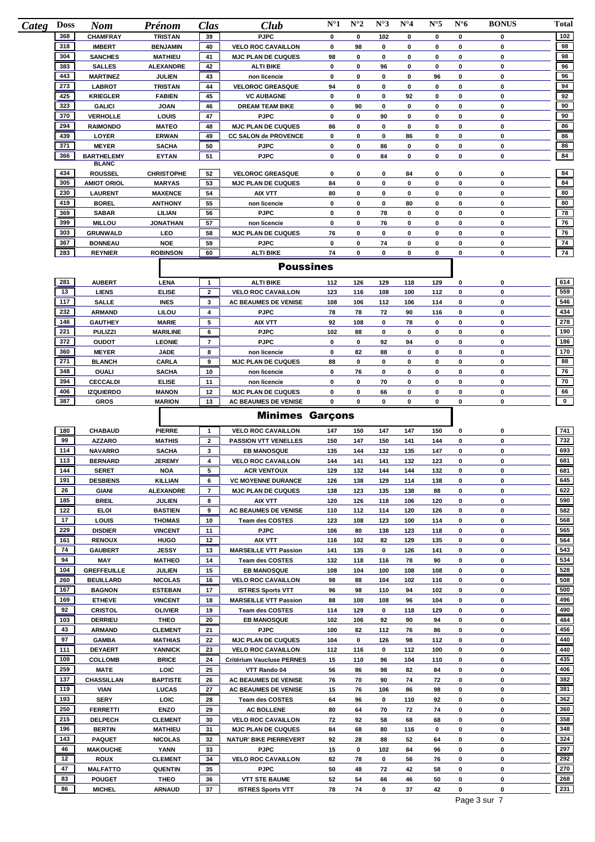| <b>Categ</b> | <b>Doss</b> | <b>Nom</b>                        | Prénom                           | Clas                | Club                                                     | $N^{\circ}1$ | $N^{\circ}2$ | $N^{\circ}3$      | $N^{\circ}4$   | $N^{\circ}5$     | $N^{\circ}6$ | <b>BONUS</b> | <b>Total</b> |
|--------------|-------------|-----------------------------------|----------------------------------|---------------------|----------------------------------------------------------|--------------|--------------|-------------------|----------------|------------------|--------------|--------------|--------------|
|              | 368         | <b>CHAMFRAY</b>                   | <b>TRISTAN</b>                   | 39                  | <b>PJPC</b>                                              | 0            | $\mathbf 0$  | 102               | 0              | 0                | 0            | 0            | 102          |
|              | 318         | <b>IMBERT</b>                     | <b>BENJAMIN</b>                  | 40                  | <b>VELO ROC CAVAILLON</b>                                | 0            | 98           | 0                 | 0              | 0                | 0            | 0            | 98           |
|              | 304         | <b>SANCHES</b>                    | <b>MATHIEU</b>                   | 41                  | <b>MJC PLAN DE CUQUES</b>                                | 98           | 0            | 0                 | 0              | 0                | 0            | 0            | 98           |
|              | 383         | <b>SALLES</b>                     | <b>ALEXANDRE</b>                 | 42                  | <b>ALTI BIKE</b>                                         | 0            | 0            | 96                | 0              | 0                | 0            | 0            | 96           |
|              | 443<br>273  | <b>MARTINEZ</b><br><b>LABROT</b>  | JULIEN<br><b>TRISTAN</b>         | 43<br>44            | non licencie<br><b>VELOROC GREASQUE</b>                  | 0<br>94      | 0<br>0       | 0<br>0            | 0<br>$\pmb{0}$ | 96<br>0          | 0<br>0       | 0<br>0       | 96<br>94     |
|              | 425         | <b>KRIEGLER</b>                   | <b>FABIEN</b>                    | 45                  | <b>VC AUBAGNE</b>                                        | 0            | 0            | 0                 | 92             | 0                | 0            | 0            | 92           |
|              | 323         | <b>GALICI</b>                     | <b>JOAN</b>                      | 46                  | <b>DREAM TEAM BIKE</b>                                   | 0            | 90           | 0                 | 0              | 0                | 0            | 0            | 90           |
|              | 370         | <b>VERHOLLE</b>                   | LOUIS                            | 47                  | <b>PJPC</b>                                              | 0            | 0            | 90                | 0              | 0                | 0            | 0            | 90           |
|              | 294         | <b>RAIMONDO</b>                   | <b>MATEO</b>                     | 48                  | <b>MJC PLAN DE CUQUES</b>                                | 86           | 0            | 0                 | 0              | 0                | 0            | 0            | 86           |
|              | 439         | LOYER                             | <b>ERWAN</b>                     | 49                  | <b>CC SALON de PROVENCE</b>                              | 0            | 0            | 0                 | 86             | 0                | 0            | 0            | 86           |
|              | 371         | <b>MEYER</b>                      | <b>SACHA</b>                     | 50                  | <b>PJPC</b>                                              | 0            | 0            | 86                | $\mathbf 0$    | 0                | 0            | 0            | 86           |
|              | 366         | <b>BARTHELEMY</b><br><b>BLANC</b> | <b>EYTAN</b>                     | 51                  | <b>PJPC</b>                                              | 0            | 0            | 84                | 0              | 0                | 0            | 0            | 84           |
|              | 434         | <b>ROUSSEL</b>                    | <b>CHRISTOPHE</b>                | 52                  | <b>VELOROC GREASQUE</b>                                  | 0            | 0            | 0                 | 84             | 0                | 0            | 0            | 84           |
|              | 305         | <b>AMIOT ORIOL</b>                | <b>MARYAS</b>                    | 53                  | <b>MJC PLAN DE CUQUES</b>                                | 84           | 0            | $\mathbf 0$       | 0              | 0                | 0            | 0            | 84           |
|              | 230         | <b>LAURENT</b>                    | <b>MAXENCE</b>                   | 54                  | <b>AIX VTT</b>                                           | 80           | 0            | 0                 | 0              | 0                | 0            | 0            | 80           |
|              | 419         | <b>BOREL</b>                      | <b>ANTHONY</b>                   | 55                  | non licencie                                             | 0            | 0            | 0                 | 80             | 0                | 0            | 0            | 80           |
|              | 369         | <b>SABAR</b>                      | LILIAN                           | 56                  | <b>PJPC</b>                                              | 0            | 0            | 78                | $\mathbf 0$    | 0                | 0            | 0            | 78           |
|              | 399         | <b>MILLOU</b>                     | <b>JONATHAN</b>                  | 57                  | non licencie                                             | 0            | 0            | 76                | 0              | 0                | 0            | 0            | 76           |
|              | 303         | <b>GRUNWALD</b>                   | LEO                              | 58                  | <b>MJC PLAN DE CUQUES</b>                                | 76           | 0            | 0                 | 0              | 0                | 0            | 0            | 76           |
|              | 367         | <b>BONNEAU</b>                    | <b>NOE</b>                       | 59                  | <b>PJPC</b>                                              | 0            | 0            | 74                | 0              | 0                | 0            | 0            | 74           |
|              | 283         | <b>REYNIER</b>                    | <b>ROBINSON</b>                  | 60                  | <b>ALTI BIKE</b>                                         | 74           | 0            | 0                 | 0              | 0                | 0            | 0            | 74           |
|              |             |                                   |                                  |                     | <b>Poussines</b>                                         |              |              |                   |                |                  |              |              |              |
|              | 281         | <b>AUBERT</b>                     | <b>LENA</b>                      | 1                   | <b>ALTI BIKE</b>                                         | 112          | 126          | 129               | 118            | 129              | 0            | 0            | 614          |
|              | 13          | <b>LIENS</b>                      | <b>ELISE</b>                     | $\overline{2}$      | <b>VELO ROC CAVAILLON</b>                                | 123          | 116          | 108               | 100            | 112              | 0            | 0            | 559          |
|              | 117         | SALLE                             | <b>INES</b>                      | 3                   | <b>AC BEAUMES DE VENISE</b>                              | 108          | 106          | 112               | 106            | 114              | 0            | 0            | 546          |
|              | 232         | <b>ARMAND</b>                     | <b>LILOU</b>                     | 4                   | <b>PJPC</b>                                              | 78           | 78           | 72                | 90             | 116              | 0            | 0            | 434          |
|              | 146         | <b>GAUTHEY</b>                    | <b>MARIE</b>                     | 5                   | <b>AIX VTT</b>                                           | 92           | 108          | 0                 | 78             | 0                | 0            | 0            | 278          |
|              | 221         | <b>PULIZZI</b>                    | <b>MARILINE</b>                  | 6                   | <b>PJPC</b>                                              | 102          | 88           | 0                 | 0              | 0                | 0            | 0            | 190          |
|              | 372         | <b>OUDOT</b>                      | <b>LEONIE</b>                    | $\overline{7}$      | <b>PJPC</b>                                              | 0            | 0            | 92                | 94             | 0                | 0            | 0            | 186          |
|              | 360         | <b>MEYER</b>                      | <b>JADE</b>                      | 8                   | non licencie                                             | 0            | 82           | 88                | 0              | 0                | 0            | 0            | 170          |
|              | 271         | <b>BLANCH</b>                     | CARLA                            | 9                   | <b>MJC PLAN DE CUQUES</b>                                | 88           | 0            | 0                 | 0              | 0                | 0            | 0            | 88           |
|              | 348         | <b>OUALI</b>                      | <b>SACHA</b>                     | 10                  | non licencie                                             | 0            | 76           | 0                 | 0              | 0                | 0            | 0            | 76           |
|              | 394<br>406  | <b>CECCALDI</b>                   | <b>ELISE</b><br><b>MANON</b>     | 11<br>12            | non licencie                                             | 0            | 0<br>0       | 70                | 0<br>0         | 0                | 0<br>0       | 0<br>0       | 70<br>66     |
|              | 387         | <b>IZQUIERDO</b><br><b>GROS</b>   | <b>MARION</b>                    | 13                  | <b>MJC PLAN DE CUQUES</b><br><b>AC BEAUMES DE VENISE</b> | 0<br>0       | 0            | 66<br>$\mathbf 0$ | $\mathbf 0$    | 0<br>$\mathbf 0$ | 0            | 0            | $\mathbf{0}$ |
|              |             |                                   |                                  |                     |                                                          |              |              |                   |                |                  |              |              |              |
|              |             |                                   |                                  |                     | <b>Minimes Garçons</b>                                   |              |              |                   |                |                  |              |              |              |
|              | 180         | CHABAUD                           | <b>PIERRE</b>                    | $\mathbf{1}$        | <b>VELO ROC CAVAILLON</b>                                | 147          | 150          | 147               | 147            | 150              | 0            | 0            | 741          |
|              | 99          | <b>AZZARO</b>                     | <b>MATHIS</b>                    | $\mathbf{2}$        | <b>PASSION VTT VENELLES</b>                              | 150          | 147          | 150               | 141            | 144              | 0            | 0            | 732          |
|              | 114         | <b>NAVARRO</b>                    | <b>SACHA</b>                     | 3                   | <b>EB MANOSQUE</b>                                       | 135          | 144          | 132               | 135            | 147              | 0            | 0            | 693          |
|              | 113         | <b>BERNARD</b>                    | <b>JEREMY</b>                    | 4                   | <b>VELO ROC CAVAILLON</b>                                | 144          | 141          | 141               | 132            | 123              | 0            | 0            | 681          |
|              | 144         | <b>SERET</b>                      | NOA                              | 5                   | <b>ACR VENTOUX</b>                                       | 129          | 132          | 144               | 144            | 132              | 0            | 0            | 681          |
|              | 191         | <b>DESBIENS</b>                   | <b>KILLIAN</b>                   | 6                   | <b>VC MOYENNE DURANCE</b>                                | 126          | 138          | 129               | 114            | 138              | 0            | 0            | 645          |
|              | 26<br>185   | <b>GIANI</b><br><b>BREIL</b>      | ALEXANDRE<br>JULIEN              | $\overline{7}$<br>8 | <b>MJC PLAN DE CUQUES</b>                                | 138          | 123          | 135               | 138<br>106     | 88<br>120        | 0<br>0       | 0<br>0       | 622<br>590   |
|              | 122         | <b>ELOI</b>                       | <b>BASTIEN</b>                   | 9                   | AIX VTT<br><b>AC BEAUMES DE VENISE</b>                   | 120<br>110   | 126<br>112   | 118<br>114        | 120            | 126              | 0            | 0            | 582          |
|              | 17          | LOUIS                             | <b>THOMAS</b>                    | 10                  | <b>Team des COSTES</b>                                   | 123          | 108          | 123               | 100            | 114              | 0            | 0            | 568          |
|              | 229         | <b>DISDIER</b>                    | <b>VINCENT</b>                   | 11                  | <b>PJPC</b>                                              | 106          | 80           | 138               | 123            | 118              | 0            | 0            | 565          |
|              | 161         | <b>RENOUX</b>                     | <b>HUGO</b>                      | 12                  | AIX VTT                                                  | 116          | 102          | 82                | 129            | 135              | 0            | 0            | 564          |
|              | 74          | <b>GAUBERT</b>                    | <b>JESSY</b>                     | 13                  | <b>MARSEILLE VTT Passion</b>                             | 141          | 135          | 0                 | 126            | 141              | 0            | 0            | 543          |
|              | 94          | MAY                               | <b>MATHEO</b>                    | 14                  | <b>Team des COSTES</b>                                   | 132          | 118          | 116               | 78             | 90               | 0            | 0            | 534          |
|              | 104         | <b>GREFFEUILLE</b>                | <b>JULIEN</b>                    | 15                  | <b>EB MANOSQUE</b>                                       | 108          | 104          | 100               | 108            | 108              | 0            | 0            | 528          |
|              | 260         | <b>BEUILLARD</b>                  | <b>NICOLAS</b>                   | 16                  | <b>VELO ROC CAVAILLON</b>                                | 98           | 88           | 104               | 102            | 116              | 0            | 0            | 508          |
|              | 167<br>169  | <b>BAGNON</b>                     | <b>ESTEBAN</b>                   | 17                  | <b>ISTRES Sports VTT</b>                                 | 96           | 98           | 110               | 94             | 102              | 0            | 0            | 500<br>496   |
|              | 92          | <b>ETHEVE</b><br><b>CRISTOL</b>   | <b>VINCENT</b><br><b>OLIVIER</b> | 18<br>19            | <b>MARSEILLE VTT Passion</b>                             | 88           | 100          | 108<br>0          | 96             | 104              | 0<br>0       | 0<br>0       | 490          |
|              | 103         | <b>DERRIEU</b>                    | <b>THEO</b>                      | 20                  | <b>Team des COSTES</b><br><b>EB MANOSQUE</b>             | 114<br>102   | 129<br>106   | 92                | 118<br>90      | 129<br>94        | 0            | 0            | 484          |
|              | 43          | <b>ARMAND</b>                     | <b>CLEMENT</b>                   | 21                  | <b>PJPC</b>                                              | 100          | 82           | 112               | 76             | 86               | 0            | 0            | 456          |
|              | 97          | <b>GAMBA</b>                      | <b>MATHIAS</b>                   | 22                  | <b>MJC PLAN DE CUQUES</b>                                | 104          | 0            | 126               | 98             | 112              | 0            | 0            | 440          |
|              | 111         | <b>DEYAERT</b>                    | <b>YANNICK</b>                   | 23                  | <b>VELO ROC CAVAILLON</b>                                | 112          | 116          | 0                 | 112            | 100              | 0            | 0            | 440          |
|              | 109         | <b>COLLOMB</b>                    | <b>BRICE</b>                     | 24                  | Critérium Vaucluse PERNES                                | 15           | 110          | 96                | 104            | 110              | 0            | 0            | 435          |
|              | 259         | <b>MATE</b>                       | LOIC                             | 25                  | VTT Rando 04                                             | 56           | 86           | 98                | 82             | 84               | 0            | 0            | 406          |
|              | 137         | <b>CHASSILLAN</b>                 | <b>BAPTISTE</b>                  | 26                  | AC BEAUMES DE VENISE                                     | 76           | 70           | 90                | 74             | 72               | 0            | 0            | 382          |
|              | 119         | <b>VIAN</b>                       | <b>LUCAS</b>                     | 27                  | <b>AC BEAUMES DE VENISE</b>                              | 15           | 76           | 106               | 86             | 98               | 0            | 0            | 381          |
|              | 193         | <b>SERY</b>                       | LOIC                             | 28                  | Team des COSTES                                          | 64           | 96           | 0                 | 110            | 92               | 0            | 0            | 362          |
|              | 250         | <b>FERRETTI</b>                   | <b>ENZO</b>                      | 29                  | <b>AC BOLLENE</b>                                        | 80           | 64           | 70                | 72             | 74               | 0            | 0            | 360          |
|              | 215<br>196  | <b>DELPECH</b>                    | <b>CLEMENT</b>                   | 30                  | <b>VELO ROC CAVAILLON</b>                                | 72           | 92           | 58                | 68             | 68               | 0            | 0            | 358          |
|              |             | <b>BERTIN</b>                     | <b>MATHIEU</b>                   | 31                  | <b>MJC PLAN DE CUQUES</b>                                | 84<br>92     | 68<br>28     | 80<br>88          | 116<br>52      | 0<br>64          | 0<br>0       | 0<br>0       | 348<br>324   |
|              |             |                                   |                                  |                     |                                                          |              |              |                   |                |                  |              |              |              |
|              | 143         | <b>PAQUET</b>                     | <b>NICOLAS</b>                   | 32                  | <b>NATUR' BIKE PIERREVERT</b>                            |              |              |                   |                |                  |              |              |              |
|              | 46<br>12    | <b>MAKOUCHE</b><br><b>ROUX</b>    | <b>YANN</b><br><b>CLEMENT</b>    | 33<br>34            | <b>PJPC</b><br><b>VELO ROC CAVAILLON</b>                 | 15<br>82     | 0<br>78      | 102<br>0          | 84<br>56       | 96<br>76         | 0<br>0       | 0<br>0       | 297<br>292   |
|              | 47          | <b>MALFATTO</b>                   | <b>QUENTIN</b>                   | 35                  | <b>PJPC</b>                                              | 50           | 48           | 72                | 42             | 58               | 0            | 0            | 270          |
|              | 83          | <b>POUGET</b>                     | THEO                             | 36                  | <b>VTT STE BAUME</b>                                     | 52           | 54           | 66                | 46             | 50               | 0            | 0            | 268          |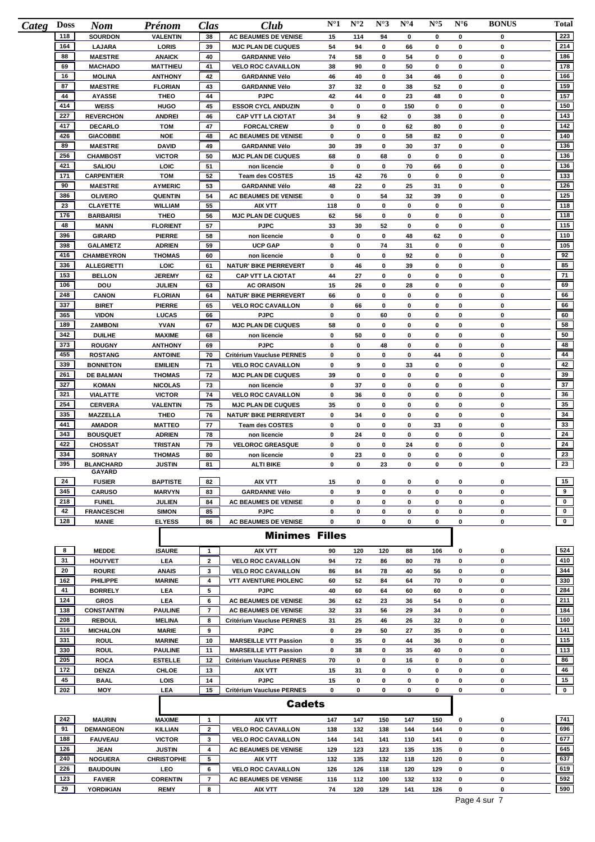| Categ | <b>Doss</b> | <b>Nom</b>                        | Prénom                          | Clas           | Club                                          | $N^{\circ}1$ | $N^{\circ}2$ | $N^{\circ}3$ | $N^{\circ}4$ | $N^{\circ}5$ | $N^{\circ}6$ | <b>BONUS</b> | Total        |
|-------|-------------|-----------------------------------|---------------------------------|----------------|-----------------------------------------------|--------------|--------------|--------------|--------------|--------------|--------------|--------------|--------------|
|       | 118         | <b>SOURDON</b>                    | <b>VALENTIN</b>                 | 38             | <b>AC BEAUMES DE VENISE</b>                   | 15           | 114          | 94           | 0            | 0            | 0            | 0            | 223          |
|       | 164         | <b>LAJARA</b>                     | LORIS                           | 39             | <b>MJC PLAN DE CUQUES</b>                     | 54           | 94           | 0            | 66           | 0            | 0            | 0            | 214          |
|       | 88          | <b>MAESTRE</b>                    | <b>ANAICK</b>                   | 40             | <b>GARDANNE Vélo</b>                          | 74           | 58           | 0            | 54           | 0            | 0            | 0            | 186          |
|       | 69          | <b>MACHADO</b>                    | <b>MATTHIEU</b>                 | 41             | <b>VELO ROC CAVAILLON</b>                     | 38           | 90           | 0            | 50           | 0            | 0            | 0            | 178          |
|       | 16<br>87    | <b>MOLINA</b>                     | <b>ANTHONY</b>                  | 42             | <b>GARDANNE Vélo</b>                          | 46           | 40           | 0            | 34           | 46           | 0            | 0<br>0       | 166<br>159   |
|       | 44          | <b>MAESTRE</b><br><b>AYASSE</b>   | <b>FLORIAN</b><br><b>THEO</b>   | 43<br>44       | <b>GARDANNE Vélo</b><br><b>PJPC</b>           | 37<br>42     | 32<br>44     | 0<br>0       | 38<br>23     | 52<br>48     | 0<br>0       | 0            | 157          |
|       | 414         | <b>WEISS</b>                      | <b>HUGO</b>                     | 45             | <b>ESSOR CYCL ANDUZIN</b>                     | 0            | 0            | 0            | 150          | 0            | 0            | 0            | 150          |
|       | 227         | <b>REVERCHON</b>                  | <b>ANDREI</b>                   | 46             | <b>CAP VTT LA CIOTAT</b>                      | 34           | 9            | 62           | 0            | 38           | 0            | 0            | 143          |
|       | 417         | <b>DECARLO</b>                    | <b>TOM</b>                      | 47             | <b>FORCAL'CREW</b>                            | 0            | 0            | 0            | 62           | 80           | 0            | 0            | 142          |
|       | 426         | <b>GIACOBBE</b>                   | <b>NOE</b>                      | 48             | AC BEAUMES DE VENISE                          | 0            | 0            | 0            | 58           | 82           | 0            | 0            | 140          |
|       | 89          | <b>MAESTRE</b>                    | <b>DAVID</b>                    | 49             | <b>GARDANNE Vélo</b>                          | 30           | 39           | 0            | 30           | 37           | 0            | 0            | 136          |
|       | 256         | <b>CHAMBOST</b>                   | <b>VICTOR</b>                   | 50             | <b>MJC PLAN DE CUQUES</b>                     | 68           | 0            | 68           | 0            | 0            | 0            | 0            | 136          |
|       | 421         | <b>SALIOU</b>                     | LOIC                            | 51             | non licencie                                  | 0            | 0            | 0            | 70           | 66           | 0            | 0            | 136          |
|       | 171         | <b>CARPENTIER</b>                 | <b>TOM</b>                      | 52             | <b>Team des COSTES</b>                        | 15           | 42           | 76           | 0            | 0            | 0            | 0            | 133          |
|       | 90          | <b>MAESTRE</b>                    | <b>AYMERIC</b>                  | 53             | <b>GARDANNE Vélo</b>                          | 48           | 22           | 0            | 25           | 31           | 0            | 0            | 126          |
|       | 386         | <b>OLIVERO</b>                    | <b>QUENTIN</b>                  | 54             | <b>AC BEAUMES DE VENISE</b>                   | 0            | 0            | 54           | 32           | 39           | 0            | 0            | 125          |
|       | 23          | <b>CLAYETTE</b>                   | <b>WILLIAM</b>                  | 55             | <b>AIX VTT</b>                                | 118          | 0            | 0            | 0            | 0            | $\pmb{0}$    | 0            | 118          |
|       | 176         | <b>BARBARISI</b>                  | <b>THEO</b>                     | 56             | <b>MJC PLAN DE CUQUES</b>                     | 62           | 56           | 0            | 0            | 0            | 0            | 0            | 118          |
|       | 48          | <b>MANN</b>                       | <b>FLORIENT</b>                 | 57             | <b>PJPC</b>                                   | 33           | 30           | 52           | 0            | 0            | 0            | 0            | 115          |
|       | 396         | <b>GIRARD</b>                     | <b>PIERRE</b>                   | 58             | non licencie                                  | 0            | 0            | 0            | 48           | 62           | 0            | 0            | 110          |
|       | 398         | <b>GALAMETZ</b>                   | <b>ADRIEN</b>                   | 59             | <b>UCP GAP</b>                                | 0            | 0            | 74           | 31           | 0            | 0            | 0            | 105          |
|       | 416         | <b>CHAMBEYRON</b>                 | <b>THOMAS</b>                   | 60             | non licencie                                  | 0            | 0            | 0            | 92           | 0            | 0            | 0            | 92           |
|       | 336<br>153  | <b>ALLEGRETTI</b>                 | LOIC                            | 61<br>62       | <b>NATUR' BIKE PIERREVERT</b>                 | 0<br>44      | 46           | 0<br>0       | 39<br>0      | 0<br>0       | 0<br>0       | 0<br>0       | 85<br>71     |
|       | 106         | <b>BELLON</b><br>DOU              | <b>JEREMY</b><br><b>JULIEN</b>  | 63             | <b>CAP VTT LA CIOTAT</b><br><b>AC ORAISON</b> | 15           | 27<br>26     | 0            | 28           | 0            | $\mathbf 0$  | 0            | 69           |
|       | 248         | <b>CANON</b>                      | <b>FLORIAN</b>                  | 64             | <b>NATUR' BIKE PIERREVERT</b>                 | 66           | 0            | 0            | 0            | 0            | $\pmb{0}$    | 0            | 66           |
|       | 337         | <b>BIRET</b>                      | <b>PIERRE</b>                   | 65             | <b>VELO ROC CAVAILLON</b>                     | 0            | 66           | 0            | 0            | 0            | 0            | 0            | 66           |
|       | 365         | <b>VIDON</b>                      | <b>LUCAS</b>                    | 66             | <b>PJPC</b>                                   | 0            | 0            | 60           | 0            | 0            | 0            | 0            | 60           |
|       | 189         | <b>ZAMBONI</b>                    | <b>YVAN</b>                     | 67             | <b>MJC PLAN DE CUQUES</b>                     | 58           | 0            | 0            | 0            | 0            | $\pmb{0}$    | 0            | 58           |
|       | 342         | <b>DUILHE</b>                     | <b>MAXIME</b>                   | 68             | non licencie                                  | 0            | 50           | 0            | 0            | 0            | 0            | 0            | 50           |
|       | 373         | <b>ROUGNY</b>                     | <b>ANTHONY</b>                  | 69             | <b>PJPC</b>                                   | 0            | 0            | 48           | 0            | 0            | 0            | 0            | 48           |
|       | 455         | <b>ROSTANG</b>                    | <b>ANTOINE</b>                  | 70             | Critérium Vaucluse PERNES                     | 0            | 0            | 0            | $\pmb{0}$    | 44           | 0            | 0            | 44           |
|       | 339         | <b>BONNETON</b>                   | <b>EMILIEN</b>                  | 71             | <b>VELO ROC CAVAILLON</b>                     | 0            | 9            | 0            | 33           | 0            | 0            | 0            | 42           |
|       | 261         | <b>DE BALMAN</b>                  | <b>THOMAS</b>                   | 72             | <b>MJC PLAN DE CUQUES</b>                     | 39           | 0            | 0            | 0            | 0            | 0            | 0            | 39           |
|       | 327         | <b>KOMAN</b>                      | <b>NICOLAS</b>                  | 73             | non licencie                                  | 0            | 37           | 0            | 0            | 0            | 0            | 0            | 37           |
|       | 321         | <b>VIALATTE</b>                   | <b>VICTOR</b>                   | 74             | <b>VELO ROC CAVAILLON</b>                     | 0            | 36           | 0            | 0            | 0            | 0            | 0            | 36           |
|       | 254         | <b>CERVERA</b>                    | <b>VALENTIN</b>                 | 75             | <b>MJC PLAN DE CUQUES</b>                     | 35           | 0            | 0            | 0            | 0            | 0            | 0            | 35           |
|       | 335         | <b>MAZZELLA</b>                   | <b>THEO</b>                     | 76             | <b>NATUR' BIKE PIERREVERT</b>                 | 0            | 34           | 0            | 0            | 0            | 0            | 0            | 34           |
|       | 441<br>343  | <b>AMADOR</b>                     | <b>MATTEO</b>                   | 77             | <b>Team des COSTES</b>                        | 0            | 0            | 0            | 0            | 33           | 0            | 0            | 33           |
|       | 422         | <b>BOUSQUET</b><br><b>CHOSSAT</b> | <b>ADRIEN</b><br><b>TRISTAN</b> | 78<br>79       | non licencie<br><b>VELOROC GREASQUE</b>       | 0<br>0       | 24<br>0      | 0<br>0       | 0<br>24      | 0<br>0       | 0<br>0       | 0<br>0       | 24<br>24     |
|       | 334         | <b>SORNAY</b>                     | <b>THOMAS</b>                   | 80             | non licencie                                  | 0            | 23           | 0            | 0            | 0            | 0            | 0            | 23           |
|       | 395         | <b>BLANCHARD</b>                  | <b>JUSTIN</b>                   | 81             | <b>ALTI BIKE</b>                              | 0            | 0            | 23           | 0            | 0            | 0            | 0            | 23           |
|       |             | GAYARD                            |                                 |                |                                               |              |              |              |              |              |              |              |              |
|       | 24          | <b>FUSIER</b>                     | <b>BAPTISTE</b>                 | 82             | AIX VTT                                       | 15           | 0            | 0            | 0            | 0            | 0            | 0            | 15           |
|       | 345         | <b>CARUSO</b>                     | <b>MARVYN</b>                   | 83             | <b>GARDANNE Vélo</b>                          | 0            | 9            | 0            | 0            | 0            | 0            | 0            | 9            |
|       | 218         | <b>FUNEL</b>                      | <b>JULIEN</b>                   | 84             | AC BEAUMES DE VENISE                          | 0            | 0            | 0            | 0            | 0            | 0            | 0            | $\mathbf 0$  |
|       | 42          | <b>FRANCESCHI</b>                 | <b>SIMON</b>                    | 85             | <b>PJPC</b>                                   | 0            | 0            | 0            | 0            | 0            | $\pmb{0}$    | 0            | $\mathbf 0$  |
|       | 128         | <b>MANIE</b>                      | <b>ELYESS</b>                   | 86             | <b>AC BEAUMES DE VENISE</b>                   | 0            | 0            | 0            | 0            | 0            | $\pmb{0}$    | 0            | $\mathbf{0}$ |
|       |             |                                   |                                 |                | <b>Minimes Filles</b>                         |              |              |              |              |              |              |              |              |
|       | 8           | <b>MEDDE</b>                      | <b>ISAURE</b>                   | $\mathbf{1}$   | <b>AIX VTT</b>                                | 90           | 120          | 120          | 88           | 106          | 0            | 0            | 524          |
|       | 31          | <b>HOUYVET</b>                    | <b>LEA</b>                      | $\overline{2}$ | <b>VELO ROC CAVAILLON</b>                     | 94           | 72           | 86           | 80           | 78           | 0            | 0            | 410          |
|       | 20          | <b>ROURE</b>                      | <b>ANAIS</b>                    | 3              | <b>VELO ROC CAVAILLON</b>                     | 86           | 84           | 78           | 40           | 56           | $\mathbf 0$  | 0            | 344          |
|       | 162         | <b>PHILIPPE</b>                   | <b>MARINE</b>                   | 4              | <b>VTT AVENTURE PIOLENC</b>                   | 60           | 52           | 84           | 64           | 70           | 0            | 0            | 330          |
|       | 41          | <b>BORRELY</b>                    | <b>LEA</b>                      | 5              | <b>PJPC</b>                                   | 40           | 60           | 64           | 60           | 60           | 0            | 0            | 284          |
|       | 124         | <b>GROS</b>                       | <b>LEA</b>                      | 6              | AC BEAUMES DE VENISE                          | 36           | 62           | 23           | 36           | 54           | 0            | 0            | 211          |
|       | 138         | <b>CONSTANTIN</b>                 | <b>PAULINE</b>                  | $\overline{7}$ | AC BEAUMES DE VENISE                          | 32           | 33           | 56           | 29           | 34           | 0            | 0            | 184          |
|       | 208         | <b>REBOUL</b>                     | <b>MELINA</b>                   | 8              | Critérium Vaucluse PERNES                     | 31           | 25           | 46           | 26           | 32           | 0            | 0            | 160          |
|       | 316         | <b>MICHALON</b>                   | <b>MARIE</b>                    | 9              | <b>PJPC</b>                                   | 0            | 29           | 50           | 27           | 35           | 0            | 0            | 141          |
|       | 331         | <b>ROUL</b>                       | <b>MARINE</b>                   | 10             | <b>MARSEILLE VTT Passion</b>                  | 0            | 35           | 0            | 44           | 36           | 0            | 0            | 115          |
|       | 330         | <b>ROUL</b>                       | <b>PAULINE</b>                  | 11             | <b>MARSEILLE VTT Passion</b>                  | 0            | 38           | 0            | 35           | 40           | 0            | 0            | 113          |
|       | 205         | <b>ROCA</b>                       | <b>ESTELLE</b>                  | 12             | Critérium Vaucluse PERNES                     | 70           | 0            | 0            | 16           | 0            | 0            | 0            | 86           |
|       | 172         | <b>DENZA</b>                      | CHLOE                           | 13             | AIX VTT                                       | 15           | 31           | 0            | 0            | 0            | 0            | 0            | 46           |
|       | 45          | <b>BAAL</b>                       | LOIS                            | 14             | <b>PJPC</b>                                   | 15           | 0            | 0            | 0            | 0            | 0            | 0            | 15           |
|       | 202         | MOY                               | LEA                             | 15             | Critérium Vaucluse PERNES                     | 0            | 0            | 0            | 0            | 0            | 0            | 0            | $\mathbf{0}$ |
|       |             |                                   |                                 |                | <b>Cadets</b>                                 |              |              |              |              |              |              |              |              |
|       | 242         | <b>MAURIN</b>                     | <b>MAXIME</b>                   | $\mathbf{1}$   | <b>AIX VTT</b>                                | 147          | 147          | 150          | 147          | 150          | 0            | $\mathbf 0$  | 741          |
|       | 91          | <b>DEMANGEON</b>                  | <b>KILLIAN</b>                  | $\overline{2}$ | <b>VELO ROC CAVAILLON</b>                     | 138          | 132          | 138          | 144          | 144          | 0            | 0            | 696          |
|       | 400         |                                   | maxer                           | $\sim$         |                                               |              |              |              |              |              |              |              | 577          |

| <b>DEMANGEON</b> | <b>KILLIAN</b>    | <b>VELO ROC CAVAILLON</b>   | 138 | 132 | 138 | 144 | 144 | 0 | 696 |
|------------------|-------------------|-----------------------------|-----|-----|-----|-----|-----|---|-----|
| <b>FAUVEAU</b>   | <b>VICTOR</b>     | <b>VELO ROC CAVAILLON</b>   | 144 | 141 | 141 | 110 | 141 | O | 677 |
| <b>JEAN</b>      | <b>JUSTIN</b>     | <b>AC BEAUMES DE VENISE</b> | 129 | 123 | 123 | 135 | 135 | O | 645 |
| <b>NOGUERA</b>   | <b>CHRISTOPHE</b> | <b>AIX VTT</b>              | 132 | 135 | 132 | 118 | 120 | O | 637 |
| <b>BAUDOUIN</b>  | LEO               | <b>VELO ROC CAVAILLON</b>   | 126 | 126 | 118 | 120 | 129 | o | 619 |
| <b>FAVIER</b>    | <b>CORENTIN</b>   | <b>AC BEAUMES DE VENISE</b> | 116 | 112 | 100 | 132 | 132 |   | 592 |
| <b>YORDIKIAN</b> | <b>REMY</b>       | <b>AIX VTT</b>              | 74  | 120 | 129 | 141 | 126 | O | 590 |
|                  |                   |                             |     |     |     |     |     |   |     |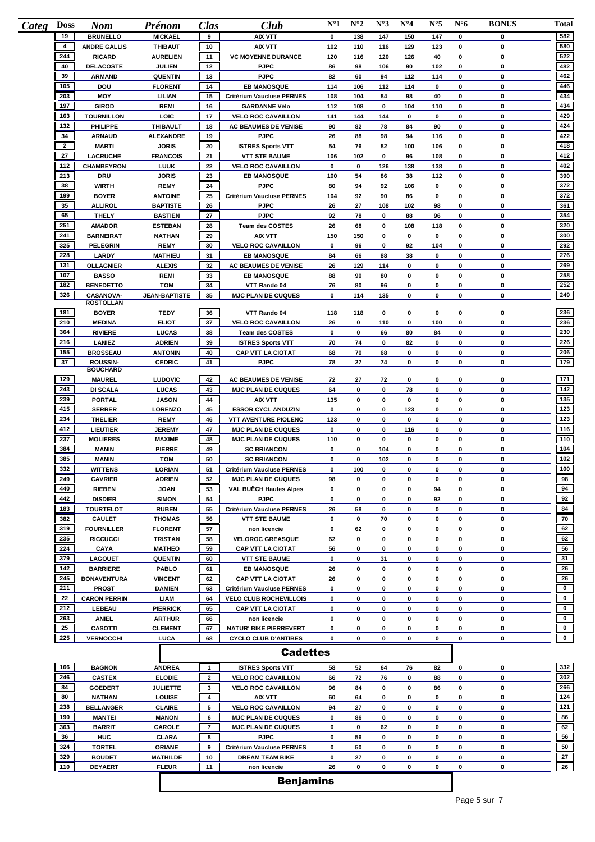| <b>Doss</b><br>Categ | <b>Nom</b>                          | Prénom                          | Clas                | Club                                                      | $N^{\circ}1$ | $N^{\circ}2$ | $N^{\circ}3$ | $N^{\circ}4$     | $N^{\circ}5$ | $N^{\circ}6$     | <b>BONUS</b> | Total            |
|----------------------|-------------------------------------|---------------------------------|---------------------|-----------------------------------------------------------|--------------|--------------|--------------|------------------|--------------|------------------|--------------|------------------|
| 19                   | <b>BRUNELLO</b>                     | <b>MICKAEL</b>                  | 9                   | <b>AIX VTT</b>                                            | 0            | 138          | 147          | 150              | 147          | 0                | 0            | 582              |
| 4                    | <b>ANDRE GALLIS</b>                 | <b>THIBAUT</b>                  | 10                  | <b>AIX VTT</b>                                            | 102          | 110          | 116          | 129              | 123          | 0                | 0            | 580              |
| 244                  | <b>RICARD</b>                       | <b>AURELIEN</b>                 | 11                  | <b>VC MOYENNE DURANCE</b>                                 | 120          | 116          | 120          | 126              | 40           | $\mathbf 0$      | 0            | 522              |
| 40                   | <b>DELACOSTE</b>                    | <b>JULIEN</b>                   | 12                  | <b>PJPC</b>                                               | 86           | 98           | 106          | 90               | 102          | $\mathbf 0$      | 0            | 482              |
| 39<br>105            | <b>ARMAND</b>                       | <b>QUENTIN</b>                  | 13                  | <b>PJPC</b><br><b>EB MANOSQUE</b>                         | 82           | 60           | 94           | 112              | 114          | 0                | 0<br>0       | 462<br>446       |
| 203                  | DOU<br><b>MOY</b>                   | <b>FLORENT</b><br>LILIAN        | 14<br>15            | <b>Critérium Vaucluse PERNES</b>                          | 114<br>108   | 106<br>104   | 112<br>84    | 114<br>98        | 0<br>40      | 0<br>$\pmb{0}$   | 0            | 434              |
| 197                  | <b>GIROD</b>                        | <b>REMI</b>                     | 16                  | <b>GARDANNE Vélo</b>                                      | 112          | 108          | 0            | 104              | 110          | 0                | 0            | 434              |
| 163                  | <b>TOURNILLON</b>                   | LOIC                            | 17                  | <b>VELO ROC CAVAILLON</b>                                 | 141          | 144          | 144          | $\mathbf 0$      | 0            | $\mathbf 0$      | 0            | 429              |
| 132                  | <b>PHILIPPE</b>                     | <b>THIBAULT</b>                 | 18                  | <b>AC BEAUMES DE VENISE</b>                               | 90           | 82           | 78           | 84               | 90           | 0                | 0            | 424              |
| 34                   | <b>ARNAUD</b>                       | <b>ALEXANDRE</b>                | 19                  | <b>PJPC</b>                                               | 26           | 88           | 98           | 94               | 116          | 0                | 0            | 422              |
| $\overline{2}$       | <b>MARTI</b>                        | <b>JORIS</b>                    | 20                  | <b>ISTRES Sports VTT</b>                                  | 54           | 76           | 82           | 100              | 106          | $\mathbf 0$      | $\mathbf 0$  | 418              |
| 27                   | <b>LACRUCHE</b>                     | <b>FRANCOIS</b>                 | 21                  | <b>VTT STE BAUME</b>                                      | 106          | 102          | 0            | 96               | 108          | $\mathbf 0$      | 0            | 412              |
| 112                  | <b>CHAMBEYRON</b>                   | <b>LUUK</b>                     | 22                  | <b>VELO ROC CAVAILLON</b>                                 | 0            | 0            | 126          | 138              | 138          | $\mathbf 0$      | 0            | 402              |
| 213                  | <b>DRU</b>                          | <b>JORIS</b>                    | 23                  | <b>EB MANOSQUE</b>                                        | 100          | 54           | 86           | 38               | 112          | 0                | 0            | 390              |
| 38                   | <b>WIRTH</b>                        | <b>REMY</b>                     | 24                  | <b>PJPC</b>                                               | 80           | 94           | 92           | 106              | 0            | $\mathbf 0$      | 0            | 372              |
| 199                  | <b>BOYER</b>                        | <b>ANTOINE</b>                  | 25                  | Critérium Vaucluse PERNES                                 | 104          | 92           | 90           | 86               | 0            | $\mathbf 0$      | 0            | 372              |
| 35                   | <b>ALLIROL</b>                      | <b>BAPTISTE</b>                 | 26                  | <b>PJPC</b>                                               | 26           | 27           | 108          | 102              | 98           | $\pmb{0}$        | $\mathbf 0$  | 361              |
| 65                   | <b>THELY</b>                        | <b>BASTIEN</b>                  | 27                  | <b>PJPC</b>                                               | 92           | 78           | 0            | 88               | 96           | 0                | 0            | 354              |
| 251                  | <b>AMADOR</b>                       | <b>ESTEBAN</b>                  | 28                  | <b>Team des COSTES</b>                                    | 26           | 68           | 0            | 108              | 118          | $\mathbf 0$      | 0            | 320              |
| 241<br>325           | <b>BARNEIRAT</b>                    | <b>NATHAN</b>                   | 29                  | <b>AIX VTT</b>                                            | 150          | 150          | 0            | $\mathbf 0$      | 0            | $\pmb{0}$        | 0            | 300<br>292       |
| 228                  | <b>PELEGRIN</b>                     | <b>REMY</b>                     | 30                  | <b>VELO ROC CAVAILLON</b>                                 | 0            | 96           | 0            | 92               | 104<br>0     | 0<br>$\mathbf 0$ | 0<br>0       | 276              |
| 131                  | LARDY<br><b>OLLAGNIER</b>           | <b>MATHIEU</b><br><b>ALEXIS</b> | 31<br>32            | <b>EB MANOSQUE</b><br><b>AC BEAUMES DE VENISE</b>         | 84<br>26     | 66<br>129    | 88<br>114    | 38<br>0          | 0            | $\mathbf 0$      | 0            | 269              |
| 107                  | <b>BASSO</b>                        | <b>REMI</b>                     | 33                  | <b>EB MANOSQUE</b>                                        | 88           | 90           | 80           | 0                | 0            | $\mathbf 0$      | 0            | 258              |
| 182                  | <b>BENEDETTO</b>                    | <b>TOM</b>                      | 34                  | VTT Rando 04                                              | 76           | 80           | 96           | $\mathbf 0$      | 0            | $\mathbf 0$      | 0            | 252              |
| 326                  | <b>CASANOVA-</b>                    | <b>JEAN-BAPTISTE</b>            | 35                  | <b>MJC PLAN DE CUQUES</b>                                 | 0            | 114          | 135          | $\pmb{0}$        | 0            | $\mathbf 0$      | 0            | 249              |
|                      | <b>ROSTOLLAN</b>                    |                                 |                     |                                                           |              |              |              |                  |              |                  |              |                  |
| 181                  | <b>BOYER</b>                        | TEDY                            | 36                  | VTT Rando 04                                              | 118          | 118          | 0            | 0                | 0            | 0                | 0            | 236              |
| 210                  | <b>MEDINA</b>                       | <b>ELIOT</b>                    | 37                  | <b>VELO ROC CAVAILLON</b>                                 | 26           | 0            | 110          | 0                | 100          | 0                | 0            | 236              |
| 364                  | <b>RIVIERE</b>                      | <b>LUCAS</b>                    | 38                  | <b>Team des COSTES</b>                                    | 0            | 0            | 66           | 80               | 84           | 0                | 0            | 230              |
| 216                  | <b>LANIEZ</b>                       | <b>ADRIEN</b>                   | 39                  | <b>ISTRES Sports VTT</b>                                  | 70           | 74           | 0            | 82               | 0            | $\mathbf 0$      | 0            | 226              |
| 155<br>37            | <b>BROSSEAU</b><br>ROUSSIN-         | <b>ANTONIN</b><br><b>CEDRIC</b> | 40<br>41            | <b>CAP VTT LA CIOTAT</b><br><b>PJPC</b>                   | 68<br>78     | 70<br>27     | 68<br>74     | 0<br>$\mathbf 0$ | 0<br>0       | 0<br>$\mathbf 0$ | 0<br>0       | 206<br>179       |
|                      | <b>BOUCHARD</b>                     |                                 |                     |                                                           |              |              |              |                  |              |                  |              |                  |
| 129                  | <b>MAUREL</b>                       | <b>LUDOVIC</b>                  | 42                  | <b>AC BEAUMES DE VENISE</b>                               | 72           | 27           | 72           | 0                | 0            | 0                | 0            | 171              |
| 243                  | <b>DI SCALA</b>                     | <b>LUCAS</b>                    | 43                  | <b>MJC PLAN DE CUQUES</b>                                 | 64           | 0            | 0            | 78               | 0            | 0                | 0            | 142              |
| 239                  | PORTAL                              | <b>JASON</b>                    | 44                  | <b>AIX VTT</b>                                            | 135          | 0            | 0            | $\mathbf 0$      | 0            | 0                | 0            | 135              |
| 415                  | <b>SERRER</b>                       | LORENZO                         | 45                  | <b>ESSOR CYCL ANDUZIN</b>                                 | 0            | 0            | 0            | 123              | 0            | $\pmb{0}$        | 0            | 123              |
| 234                  | <b>THELIER</b>                      | <b>REMY</b>                     | 46                  | <b>VTT AVENTURE PIOLENC</b>                               | 123          | 0            | 0            | 0                | 0            | $\mathbf 0$      | 0            | 123              |
| 412                  | <b>LIEUTIER</b>                     | <b>JEREMY</b>                   | 47                  | <b>MJC PLAN DE CUQUES</b>                                 | 0            | 0            | 0            | 116              | 0            | $\mathbf 0$      | 0            | 116              |
| 237<br>384           | <b>MOLIERES</b>                     | <b>MAXIME</b>                   | 48                  | <b>MJC PLAN DE CUQUES</b>                                 | 110          | 0            | 0            | 0                | 0            | $\pmb{0}$        | 0            | 110<br>104       |
| 385                  | <b>MANIN</b><br><b>MANIN</b>        | <b>PIERRE</b><br><b>TOM</b>     | 49<br>50            | <b>SC BRIANCON</b><br><b>SC BRIANCON</b>                  | 0<br>0       | 0<br>0       | 104<br>102   | 0<br>0           | 0<br>0       | 0<br>0           | 0<br>0       | 102              |
| 332                  | <b>WITTENS</b>                      | <b>LORIAN</b>                   | 51                  | <b>Critérium Vaucluse PERNES</b>                          | 0            | 100          | $\mathbf 0$  | $\mathbf 0$      | 0            | $\bf{0}$         | 0            | 100              |
| 249                  | <b>CAVRIER</b>                      | <b>ADRIEN</b>                   | 52                  | <b>MJC PLAN DE CUQUES</b>                                 | 98           | 0            | 0            | 0                | 0            | 0                | 0            | 98               |
| 440                  | <b>RIEBEN</b>                       | <b>JOAN</b>                     | 53                  | <b>VAL BUËCH Hautes Alpes</b>                             | 0            | 0            | 0            | 0                | 94           | 0                | 0            | 94               |
| 442                  | <b>DISDIER</b>                      | <b>SIMON</b>                    | 54                  | <b>PJPC</b>                                               | 0            | 0            | 0            | 0                | 92           | $\pmb{0}$        | 0            | 92               |
| 183                  | <b>TOURTELOT</b>                    | <b>RUBEN</b>                    | 55                  | Critérium Vaucluse PERNES                                 | 26           | 58           | 0            | 0                | 0            | 0                | 0            | 84               |
| 382                  | <b>CAULET</b>                       | <b>THOMAS</b>                   | 56                  | <b>VTT STE BAUME</b>                                      | 0            | 0            | 70           | 0                | 0            | 0                | 0            | 70               |
| 319                  | <b>FOURNILLER</b>                   | <b>FLORENT</b>                  | 57                  | non licencie                                              | 0            | 62           | 0            | 0                | 0            | 0                | 0            | 62               |
| 235                  | <b>RICCUCCI</b>                     | <b>TRISTAN</b>                  | 58                  | <b>VELOROC GREASQUE</b>                                   | 62           | 0            | 0            | 0                | 0            | 0                | 0            | 62               |
| 224                  | <b>CAYA</b>                         | <b>MATHEO</b>                   | 59                  | <b>CAP VTT LA CIOTAT</b>                                  | 56           | 0            | 0            | 0                | 0            | 0                | 0            | 56               |
| 379                  | <b>LAGOUET</b>                      | <b>QUENTIN</b>                  | 60                  | <b>VTT STE BAUME</b>                                      | 0            | 0            | 31           | 0                | 0            | 0                | 0            | 31               |
| 142                  | <b>BARRIERE</b>                     | <b>PABLO</b>                    | 61                  | <b>EB MANOSQUE</b>                                        | 26           | 0            | 0            | 0                | 0            | 0                | 0            | 26               |
| 245                  | <b>BONAVENTURA</b>                  | <b>VINCENT</b>                  | 62                  | <b>CAP VTT LA CIOTAT</b>                                  | 26           | 0            | 0            | 0                | 0            | 0                | 0            | 26               |
| 211<br>22            | <b>PROST</b><br><b>CARON PERRIN</b> | <b>DAMIEN</b>                   | 63                  | <b>Critérium Vaucluse PERNES</b>                          | 0            | 0            | 0<br>0       | 0<br>0           | 0<br>0       | 0<br>0           | 0<br>0       | $\mathbf 0$<br>0 |
| 212                  | LEBEAU                              | <b>LIAM</b><br><b>PIERRICK</b>  | 64<br>65            | <b>VELO CLUB ROCHEVILLOIS</b><br><b>CAP VTT LA CIOTAT</b> | 0<br>0       | 0<br>0       | 0            | 0                | 0            | $\pmb{0}$        | 0            | $\mathbf 0$      |
| 263                  | <b>ANIEL</b>                        | <b>ARTHUR</b>                   | 66                  | non licencie                                              | 0            | 0            | 0            | 0                | 0            | 0                | 0            | $\mathbf 0$      |
| 25                   | <b>CASOTTI</b>                      | <b>CLEMENT</b>                  | 67                  | <b>NATUR' BIKE PIERREVERT</b>                             | 0            | 0            | 0            | 0                | 0            | 0                | 0            | $\mathbf{0}$     |
| 225                  | <b>VERNOCCHI</b>                    | LUCA                            | 68                  | <b>CYCLO CLUB D'ANTIBES</b>                               | 0            | 0            | 0            | 0                | 0            | 0                | 0            | $\mathbf{0}$     |
|                      |                                     |                                 |                     | <b>Cadettes</b>                                           |              |              |              |                  |              |                  |              |                  |
|                      |                                     |                                 |                     |                                                           |              |              |              |                  |              |                  |              |                  |
| 166                  | <b>BAGNON</b>                       | <b>ANDREA</b>                   | $\mathbf{1}$        | <b>ISTRES Sports VTT</b>                                  | 58           | 52           | 64           | 76               | 82           | 0                | 0            | 332              |
| 246                  | <b>CASTEX</b>                       | <b>ELODIE</b>                   | $\mathbf{2}$        | <b>VELO ROC CAVAILLON</b>                                 | 66           | 72           | 76           | 0                | 88           | 0                | 0            | 302              |
| 84                   | <b>GOEDERT</b>                      | JULIETTE                        | 3                   | <b>VELO ROC CAVAILLON</b>                                 | 96           | 84           | 0            | 0                | 86           | 0                | 0            | 266              |
| 80                   | <b>NATHAN</b>                       | LOUISE                          | 4                   | AIX VTT                                                   | 60           | 64           | 0            | 0                | 0            | 0                | 0            | 124              |
| 238                  | <b>BELLANGER</b>                    | <b>CLAIRE</b>                   | 5                   | <b>VELO ROC CAVAILLON</b>                                 | 94           | 27           | 0            | 0                | 0            | 0                | 0            | 121              |
| 190<br>363           | <b>MANTEI</b><br><b>BARRIT</b>      | <b>MANON</b><br>CAROLE          | 6<br>$\overline{7}$ | <b>MJC PLAN DE CUQUES</b><br><b>MJC PLAN DE CUQUES</b>    | 0<br>0       | 86<br>0      | 0<br>62      | 0<br>0           | 0<br>0       | 0<br>$\pmb{0}$   | 0<br>0       | 86<br>62         |
| 36                   | <b>HUC</b>                          | <b>CLARA</b>                    | 8                   | <b>PJPC</b>                                               | 0            | 56           | 0            | 0                | 0            | 0                | 0            | 56               |
| 324                  | <b>TORTEL</b>                       | ORIANE                          | 9                   | Critérium Vaucluse PERNES                                 | 0            | 50           | 0            | 0                | 0            | 0                | 0            | 50               |
| 329                  | <b>BOUDET</b>                       | <b>MATHILDE</b>                 | 10                  | <b>DREAM TEAM BIKE</b>                                    | 0            | 27           | 0            | 0                | 0            | $\pmb{0}$        | 0            | 27               |
| 110                  | <b>DEYAERT</b>                      | <b>FLEUR</b>                    | 11                  | non licencie                                              | 26           | 0            | 0            | 0                | 0            | 0                | 0            | 26               |
|                      |                                     |                                 |                     |                                                           |              |              |              |                  |              |                  |              |                  |
|                      |                                     |                                 |                     | <b>Benjamins</b>                                          |              |              |              |                  |              |                  |              |                  |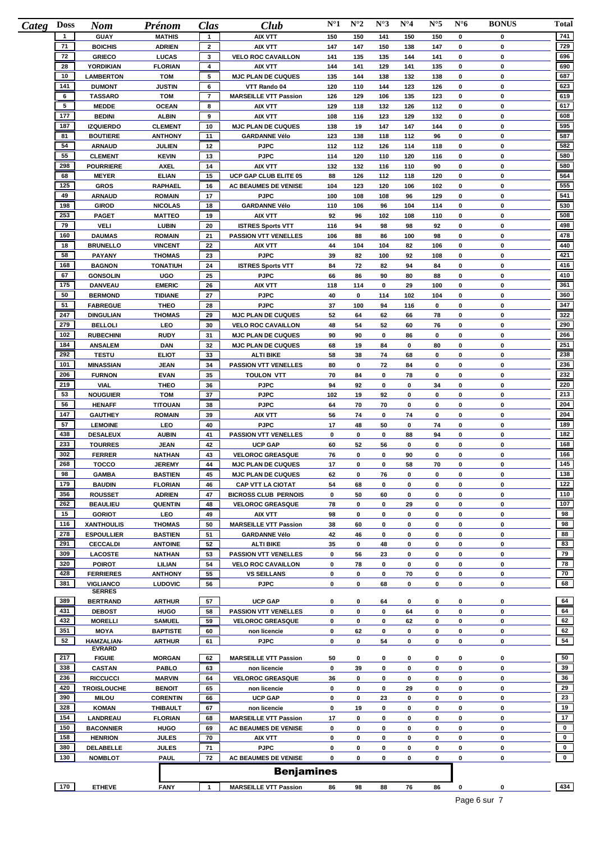| <b>Doss</b>  | <b>Nom</b>                             | Prénom                          | Clas           | Club                                                 | $N^{\circ}1$ | $N^{\circ}2$ | $N^{\circ}3$ | $N^{\circ}4$ | $N^{\circ}5$ | $N^{\circ}6$ | <b>BONUS</b> | Total       |
|--------------|----------------------------------------|---------------------------------|----------------|------------------------------------------------------|--------------|--------------|--------------|--------------|--------------|--------------|--------------|-------------|
| $\mathbf{1}$ | <b>GUAY</b>                            | <b>MATHIS</b>                   | $\mathbf{1}$   | <b>AIX VTT</b>                                       | 150          | 150          | 141          | 150          | 150          | 0            | 0            | 741         |
| 71           | <b>BOICHIS</b>                         | <b>ADRIEN</b>                   | $\overline{2}$ | AIX VTT                                              | 147          | 147          | 150          | 138          | 147          | $\mathbf 0$  | 0            | 729         |
| 72           | <b>GRIECO</b>                          | LUCAS                           | 3              | <b>VELO ROC CAVAILLON</b>                            | 141          | 135          | 135          | 144          | 141          | 0            | 0            | 696         |
| 28           | <b>YORDIKIAN</b>                       | <b>FLORIAN</b>                  | 4              | AIX VTT                                              | 144          | 141          | 129          | 141          | 135          | 0            | 0            | 690         |
| 10           | <b>LAMBERTON</b>                       | <b>TOM</b>                      | 5              | <b>MJC PLAN DE CUQUES</b>                            | 135          | 144          | 138          | 132          | 138          | 0            | 0            | 687         |
| 141          | <b>DUMONT</b>                          | <b>JUSTIN</b>                   | 6              | VTT Rando 04                                         | 120          | 110          | 144          | 123          | 126          | 0            | 0            | 623         |
| 6            | <b>TASSARO</b>                         | <b>TOM</b>                      | $\overline{7}$ | <b>MARSEILLE VTT Passion</b>                         | 126          | 129          | 106          | 135          | 123          | 0            | 0            | 619         |
| 5            | <b>MEDDE</b>                           | <b>OCEAN</b>                    | 8              | AIX VTT                                              | 129          | 118          | 132          | 126          | 112          | 0            | 0            | 617         |
| 177          | <b>BEDINI</b>                          | <b>ALBIN</b>                    | 9              | <b>AIX VTT</b>                                       | 108          | 116          | 123          | 129          | 132          | 0            | 0            | 608         |
| 187          | <b>IZQUIERDO</b>                       | <b>CLEMENT</b>                  | 10             | <b>MJC PLAN DE CUQUES</b>                            | 138          | 19           | 147          | 147          | 144          | 0            | 0            | 595         |
| 81           | <b>BOUTIERE</b>                        | <b>ANTHONY</b>                  | 11             | <b>GARDANNE Vélo</b>                                 | 123          | 138          | 118          | 112          | 96           | 0            | 0            | 587         |
| 54           | <b>ARNAUD</b>                          | <b>JULIEN</b>                   | $12 \,$        | <b>PJPC</b>                                          | 112          | 112          | 126          | 114          | 118          | 0            | 0            | 582         |
| 55           | <b>CLEMENT</b>                         | <b>KEVIN</b>                    | 13             | <b>PJPC</b>                                          | 114          | 120          | 110          | 120          | 116          | 0            | 0            | 580         |
| 298          | <b>POURRIERE</b>                       | <b>AXEL</b>                     | 14             | <b>AIX VTT</b>                                       | 132          | 132          | 116          | 110          | 90           | 0            | 0            | 580         |
| 68<br>125    | <b>MEYER</b>                           | <b>ELIAN</b>                    | 15             | UCP GAP CLUB ELITE 05                                | 88           | 126          | 112          | 118          | 120          | 0            | 0            | 564<br>555  |
| 49           | <b>GROS</b>                            | <b>RAPHAEL</b>                  | 16<br>17       | <b>AC BEAUMES DE VENISE</b><br><b>PJPC</b>           | 104          | 123          | 120<br>108   | 106          | 102          | 0<br>0       | 0<br>0       | 541         |
| 198          | <b>ARNAUD</b><br><b>GIROD</b>          | <b>ROMAIN</b><br><b>NICOLAS</b> | 18             | <b>GARDANNE Vélo</b>                                 | 100<br>110   | 108<br>106   | 96           | 96<br>104    | 129<br>114   | $\mathbf 0$  | 0            | 530         |
| 253          | <b>PAGET</b>                           | <b>MATTEO</b>                   | 19             | <b>AIX VTT</b>                                       | 92           | 96           | 102          | 108          | 110          | 0            | 0            | 508         |
| 79           | <b>VELI</b>                            | <b>LUBIN</b>                    | 20             | <b>ISTRES Sports VTT</b>                             | 116          | 94           | 98           | 98           | 92           | $\mathbf 0$  | 0            | 498         |
| 160          | <b>DAUMAS</b>                          | <b>ROMAIN</b>                   | 21             | <b>PASSION VTT VENELLES</b>                          | 106          | 88           | 86           | 100          | 98           | $\mathbf 0$  | 0            | 478         |
| 18           | <b>BRUNELLO</b>                        | <b>VINCENT</b>                  | 22             | AIX VTT                                              | 44           | 104          | 104          | 82           | 106          | 0            | 0            | 440         |
| 58           | <b>PAYANY</b>                          | <b>THOMAS</b>                   | 23             | <b>PJPC</b>                                          | 39           | 82           | 100          | 92           | 108          | 0            | 0            | 421         |
| 168          | <b>BAGNON</b>                          | <b>TONATIUH</b>                 | 24             | <b>ISTRES Sports VTT</b>                             | 84           | 72           | 82           | 94           | 84           | $\mathbf 0$  | 0            | 416         |
| 67           | <b>GONSOLIN</b>                        | UGO                             | 25             | <b>PJPC</b>                                          | 66           | 86           | 90           | 80           | 88           | 0            | 0            | 410         |
| 175          | <b>DANVEAU</b>                         | <b>EMERIC</b>                   | 26             | <b>AIX VTT</b>                                       | 118          | 114          | 0            | 29           | 100          | 0            | 0            | 361         |
| 50           | <b>BERMOND</b>                         | <b>TIDIANE</b>                  | 27             | <b>PJPC</b>                                          | 40           | 0            | 114          | 102          | 104          | 0            | 0            | 360         |
| 51           | <b>FABREGUE</b>                        | <b>THEO</b>                     | 28             | <b>PJPC</b>                                          | 37           | 100          | 94           | 116          | 0            | 0            | 0            | 347         |
| 247          | <b>DINGULIAN</b>                       | <b>THOMAS</b>                   | 29             | <b>MJC PLAN DE CUQUES</b>                            | 52           | 64           | 62           | 66           | 78           | 0            | 0            | 322         |
| 279          | <b>BELLOLI</b>                         | LEO                             | 30             | <b>VELO ROC CAVAILLON</b>                            | 48           | 54           | 52           | 60           | 76           | $\mathbf 0$  | 0            | 290         |
| 102          | <b>RUBECHINI</b>                       | <b>RUDY</b>                     | 31             | <b>MJC PLAN DE CUQUES</b>                            | 90           | 90           | 0            | 86           | 0            | 0            | 0            | 266         |
| 184          | <b>ANSALEM</b>                         | <b>DAN</b>                      | 32             | <b>MJC PLAN DE CUQUES</b>                            | 68           | 19           | 84           | 0            | 80           | 0            | 0            | 251         |
| 292          | <b>TESTU</b>                           | <b>ELIOT</b>                    | 33             | <b>ALTI BIKE</b>                                     | 58           | 38           | 74           | 68           | 0            | 0            | 0            | 238         |
| 101          | <b>MINASSIAN</b>                       | <b>JEAN</b>                     | 34             | <b>PASSION VTT VENELLES</b>                          | 80           | 0            | 72           | 84           | 0            | 0            | 0            | 236         |
| 206          | <b>FURNON</b>                          | <b>EVAN</b>                     | 35             | <b>TOULON VTT</b>                                    | 70           | 84           | 0            | 78           | 0            | 0            | $\mathbf 0$  | 232         |
| 219          | <b>VIAL</b>                            | <b>THEO</b>                     | 36             | <b>PJPC</b>                                          | 94           | 92           | 0            | 0            | 34           | 0            | 0            | 220         |
| 53           | <b>NOUGUIER</b>                        | <b>TOM</b>                      | 37             | <b>PJPC</b>                                          | 102          | 19           | 92           | 0            | 0            | 0            | 0            | 213         |
| 56           | <b>HENAFF</b>                          | <b>TITOUAN</b>                  | 38             | <b>PJPC</b>                                          | 64           | 70           | 70           | 0            | 0            | 0            | 0            | 204         |
| 147          | <b>GAUTHEY</b>                         | <b>ROMAIN</b>                   | 39             | <b>AIX VTT</b>                                       | 56           | 74           | 0            | 74           | 0            | 0            | 0            | 204         |
| 57           | <b>LEMOINE</b>                         | LEO                             | 40             | <b>PJPC</b>                                          | 17           | 48           | 50           | 0            | 74           | 0            | 0            | 189         |
| 438          | <b>DESALEUX</b>                        | <b>AUBIN</b>                    | 41             | PASSION VTT VENELLES                                 | 0            | 0            | 0            | 88           | 94           | 0            | 0            | 182         |
| 233          | <b>TOURRES</b>                         | <b>JEAN</b>                     | 42             | <b>UCP GAP</b>                                       | 60           | 52           | 56           | 0            | 0            | 0            | 0            | 168         |
| 302          | <b>FERRER</b>                          | <b>NATHAN</b>                   | 43             | <b>VELOROC GREASQUE</b>                              | 76           | 0            | 0            | 90           | 0            | 0            | 0            | 166         |
| 268          | <b>TOCCO</b>                           | <b>JEREMY</b>                   | 44             | <b>MJC PLAN DE CUQUES</b>                            | 17           | 0            | 0            | 58           | 70           | 0            | 0            | 145         |
| 98           | <b>GAMBA</b>                           | <b>BASTIEN</b>                  | 45             | <b>MJC PLAN DE CUQUES</b>                            | 62           | 0            | 76           | 0            | 0            | 0            | 0            | 138         |
| 179          | <b>BAUDIN</b>                          | <b>FLORIAN</b>                  | 46             | <b>CAP VTT LA CIOTAT</b>                             | 54           | 68           | 0            | 0            | 0            | 0            | 0            | 122         |
| 356          | <b>ROUSSET</b>                         | <b>ADRIEN</b>                   | 47             | <b>BICROSS CLUB PERNOIS</b>                          | 0            | 50           | 60           | 0            | 0            | 0            | 0            | 110         |
| 262          | <b>BEAULIEU</b>                        | <b>QUENTIN</b>                  | 48             | <b>VELOROC GREASQUE</b>                              | 78           | 0            | 0            | 29           | 0            | 0            | 0            | 107         |
| 15<br>116    | <b>GORIOT</b>                          | LEO                             | 49             | AIX VTT                                              | 98           | 0            | 0            | 0            | 0            | 0            | 0            | 98<br>98    |
| 278          | <b>XANTHOULIS</b><br><b>ESPOULLIER</b> | <b>THOMAS</b><br><b>BASTIEN</b> | 50<br>51       | <b>MARSEILLE VTT Passion</b><br><b>GARDANNE Vélo</b> | 38<br>42     | 60<br>46     | 0<br>0       | 0<br>0       | 0<br>0       | 0<br>0       | 0<br>0       | 88          |
| 291          | <b>CECCALDI</b>                        | <b>ANTOINE</b>                  | 52             | <b>ALTI BIKE</b>                                     | 35           | 0            | 48           | 0            | 0            | 0            | 0            | 83          |
| 309          | <b>LACOSTE</b>                         | <b>NATHAN</b>                   | 53             | <b>PASSION VTT VENELLES</b>                          | 0            | 56           | 23           | 0            | 0            | 0            | 0            | 79          |
| 320          | <b>POIROT</b>                          | LILIAN                          | 54             | <b>VELO ROC CAVAILLON</b>                            | 0            | 78           | 0            | 0            | 0            | 0            | 0            | 78          |
| 428          | <b>FERRIERES</b>                       | <b>ANTHONY</b>                  | 55             | <b>VS SEILLANS</b>                                   | 0            | 0            | 0            | 70           | 0            | 0            | 0            | 70          |
| 381          | <b>VIGLIANCO</b>                       | <b>LUDOVIC</b>                  | 56             | <b>PJPC</b>                                          | 0            | 0            | 68           | 0            | 0            | 0            | 0            | 68          |
|              | <b>SERRES</b>                          |                                 |                |                                                      |              |              |              |              |              |              |              |             |
| 389          | <b>BERTRAND</b>                        | <b>ARTHUR</b>                   | 57             | <b>UCP GAP</b>                                       | 0            | 0            | 64           | 0            | 0            | 0            | 0            | 64          |
| 431          | <b>DEBOST</b>                          | <b>HUGO</b>                     | 58             | <b>PASSION VTT VENELLES</b>                          | 0            | 0            | 0            | 64           | 0            | 0            | 0            | 64          |
| 432          | <b>MORELLI</b>                         | <b>SAMUEL</b>                   | 59             | <b>VELOROC GREASQUE</b>                              | 0            | 0            | 0            | 62           | 0            | 0            | 0            | 62          |
| 351          | <b>MOYA</b>                            | <b>BAPTISTE</b>                 | 60             | non licencie                                         | 0            | 62           | 0            | 0            | 0            | 0            | 0            | 62          |
| 52           | <b>HAMZALIAN-</b>                      | <b>ARTHUR</b>                   | 61             | <b>PJPC</b>                                          | 0            | 0            | 54           | 0            | 0            | 0            | 0            | 54          |
|              | <b>EVRARD</b>                          |                                 |                |                                                      |              |              |              |              |              |              |              |             |
| 217          | <b>FIGUIE</b>                          | <b>MORGAN</b>                   | 62             | <b>MARSEILLE VTT Passion</b>                         | 50           | 0            | 0            | 0            | 0            | 0            | 0            | 50          |
| 338          | <b>CASTAN</b>                          | <b>PABLO</b>                    | 63             | non licencie                                         | 0            | 39           | 0            | $\pmb{0}$    | 0            | 0            | 0            | 39          |
| 236          | <b>RICCUCCI</b>                        | <b>MARVIN</b>                   | 64             | <b>VELOROC GREASQUE</b>                              | 36           | 0            | 0            | 0            | 0            | 0            | 0            | 36          |
| 420          | <b>TROISLOUCHE</b>                     | <b>BENOIT</b>                   | 65             | non licencie                                         | 0            | 0            | 0            | 29           | 0            | 0            | 0            | 29<br>23    |
| 390          | <b>MILOU</b>                           | <b>CORENTIN</b>                 | 66             | <b>UCP GAP</b>                                       | 0            | 0            | 23           | 0            | 0            | 0            | 0            |             |
| 328          | <b>KOMAN</b>                           | <b>THIBAULT</b>                 | 67             | non licencie                                         | 0            | 19           | 0            | 0            | 0            | 0            | 0            | 19          |
| 154          | LANDREAU                               | <b>FLORIAN</b>                  | 68             | <b>MARSEILLE VTT Passion</b>                         | 17           | 0            | 0            | 0            | 0            | 0            | 0            | 17          |
| 150<br>158   | <b>BACONNIER</b>                       | <b>HUGO</b>                     | 69             | AC BEAUMES DE VENISE                                 | 0            | 0            | 0            | 0            | 0            | 0            | 0            |             |
|              | <b>HENRION</b>                         | <b>JULES</b>                    | 70             | AIX VTT                                              | 0<br>0       | 0            | 0<br>0       | 0<br>0       | 0<br>0       | 0<br>0       | 0<br>0       | $\mathbf 0$ |
|              |                                        |                                 |                |                                                      |              |              |              |              |              |              |              | $\mathbf 0$ |
| 380<br>130   | DELABELLE<br><b>NOMBLOT</b>            | <b>JULES</b><br><b>PAUL</b>     | 71<br>72       | <b>PJPC</b><br><b>AC BEAUMES DE VENISE</b>           | 0            | 0<br>0       | 0            | 0            | 0            | 0            | 0            | $\mathbf 0$ |